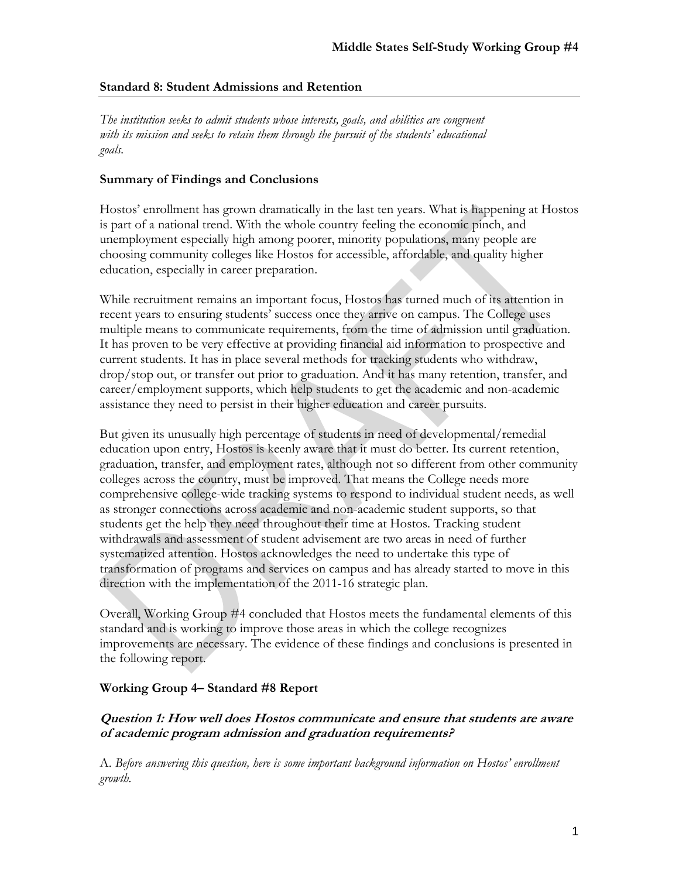### **Standard 8: Student Admissions and Retention**

*The institution seeks to admit students whose interests, goals, and abilities are congruent with its mission and seeks to retain them through the pursuit of the students' educational goals.* 

# **Summary of Findings and Conclusions**

Hostos' enrollment has grown dramatically in the last ten years. What is happening at Hostos is part of a national trend. With the whole country feeling the economic pinch, and unemployment especially high among poorer, minority populations, many people are choosing community colleges like Hostos for accessible, affordable, and quality higher education, especially in career preparation.

While recruitment remains an important focus, Hostos has turned much of its attention in recent years to ensuring students' success once they arrive on campus. The College uses multiple means to communicate requirements, from the time of admission until graduation. It has proven to be very effective at providing financial aid information to prospective and current students. It has in place several methods for tracking students who withdraw, drop/stop out, or transfer out prior to graduation. And it has many retention, transfer, and career/employment supports, which help students to get the academic and non-academic assistance they need to persist in their higher education and career pursuits.

But given its unusually high percentage of students in need of developmental/remedial education upon entry, Hostos is keenly aware that it must do better. Its current retention, graduation, transfer, and employment rates, although not so different from other community colleges across the country, must be improved. That means the College needs more comprehensive college-wide tracking systems to respond to individual student needs, as well as stronger connections across academic and non-academic student supports, so that students get the help they need throughout their time at Hostos. Tracking student withdrawals and assessment of student advisement are two areas in need of further systematized attention. Hostos acknowledges the need to undertake this type of transformation of programs and services on campus and has already started to move in this direction with the implementation of the 2011-16 strategic plan.

Overall, Working Group #4 concluded that Hostos meets the fundamental elements of this standard and is working to improve those areas in which the college recognizes improvements are necessary. The evidence of these findings and conclusions is presented in the following report.

### **Working Group 4– Standard #8 Report**

# **Question 1: How well does Hostos communicate and ensure that students are aware of academic program admission and graduation requirements?**

A. *Before answering this question, here is some important background information on Hostos' enrollment growth.*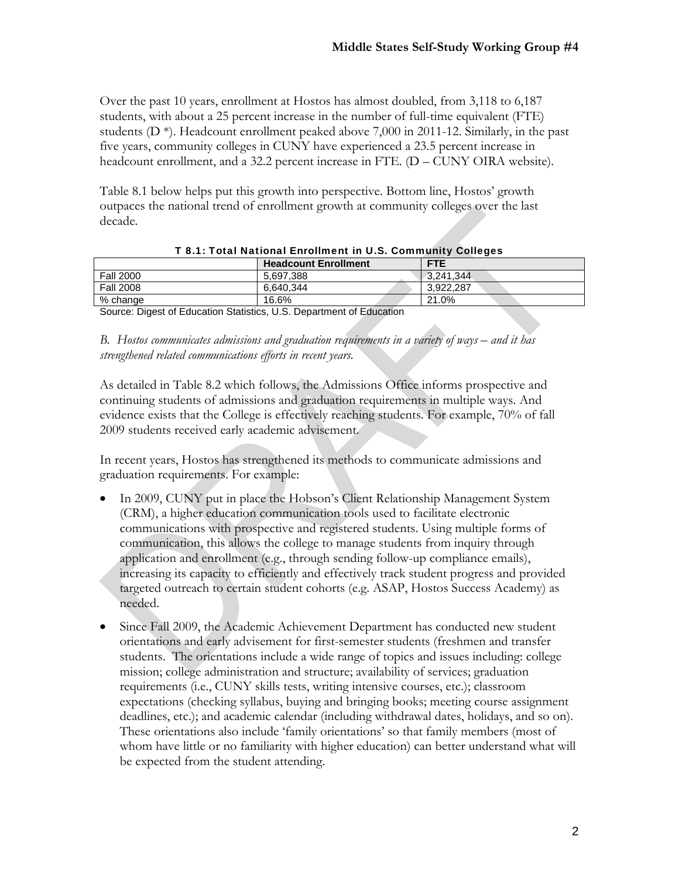Over the past 10 years, enrollment at Hostos has almost doubled, from 3,118 to 6,187 students, with about a 25 percent increase in the number of full-time equivalent (FTE) students  $(D^*)$ . Headcount enrollment peaked above 7,000 in 2011-12. Similarly, in the past five years, community colleges in CUNY have experienced a 23.5 percent increase in headcount enrollment, and a 32.2 percent increase in FTE. (D – CUNY OIRA website).

Table 8.1 below helps put this growth into perspective. Bottom line, Hostos' growth outpaces the national trend of enrollment growth at community colleges over the last decade.

|                               |                             | . .        |
|-------------------------------|-----------------------------|------------|
|                               | <b>Headcount Enrollment</b> | <b>FTE</b> |
| <b>Fall 2000</b>              | 5,697,388                   | 3.241.344  |
| <b>Fall 2008</b>              | 6,640,344                   | 3.922.287  |
| % change                      | 16.6%                       | 21.0%      |
| $\sim$<br>__ _ _<br>.<br>$ -$ | .<br>.                      |            |

|  |  | T 8.1: Total National Enrollment in U.S. Community Colleges |  |  |
|--|--|-------------------------------------------------------------|--|--|
|  |  |                                                             |  |  |

Source: Digest of Education Statistics, U.S. Department of Education

*B. Hostos communicates admissions and graduation requirements in a variety of ways – and it has strengthened related communications efforts in recent years.* 

As detailed in Table 8.2 which follows, the Admissions Office informs prospective and continuing students of admissions and graduation requirements in multiple ways. And evidence exists that the College is effectively reaching students. For example, 70% of fall 2009 students received early academic advisement.

In recent years, Hostos has strengthened its methods to communicate admissions and graduation requirements. For example:

- In 2009, CUNY put in place the Hobson's Client Relationship Management System (CRM), a higher education communication tools used to facilitate electronic communications with prospective and registered students. Using multiple forms of communication, this allows the college to manage students from inquiry through application and enrollment (e.g., through sending follow-up compliance emails), increasing its capacity to efficiently and effectively track student progress and provided targeted outreach to certain student cohorts (e.g. ASAP, Hostos Success Academy) as needed.
- Since Fall 2009, the Academic Achievement Department has conducted new student orientations and early advisement for first-semester students (freshmen and transfer students. The orientations include a wide range of topics and issues including: college mission; college administration and structure; availability of services; graduation requirements (i.e., CUNY skills tests, writing intensive courses, etc.); classroom expectations (checking syllabus, buying and bringing books; meeting course assignment deadlines, etc.); and academic calendar (including withdrawal dates, holidays, and so on). These orientations also include 'family orientations' so that family members (most of whom have little or no familiarity with higher education) can better understand what will be expected from the student attending.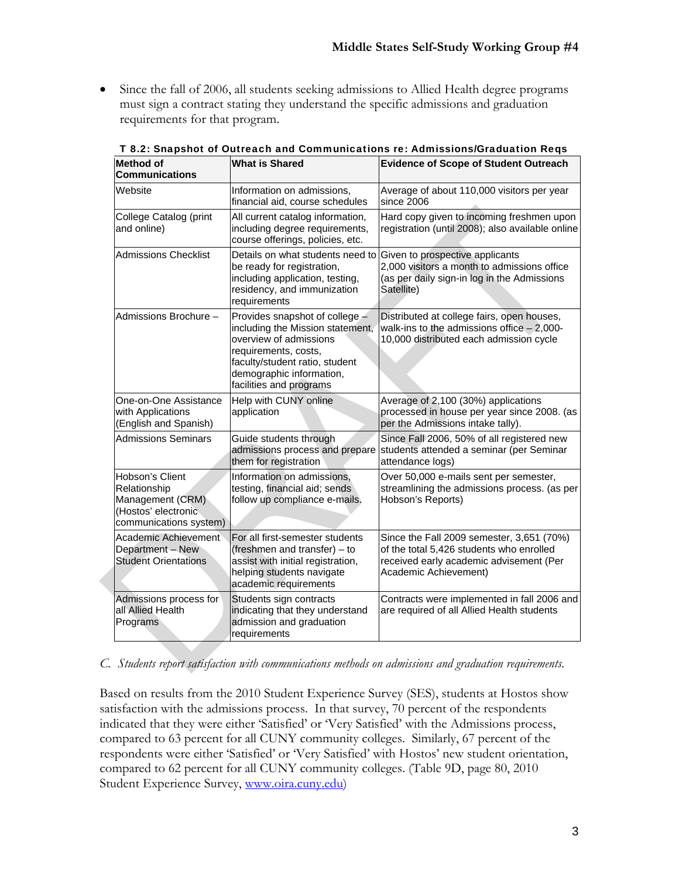Since the fall of 2006, all students seeking admissions to Allied Health degree programs must sign a contract stating they understand the specific admissions and graduation requirements for that program.

| <b>Method of</b><br><b>Communications</b>                                                            | <b>What is Shared</b>                                                                                                                                                                                         | <b>Evidence of Scope of Student Outreach</b>                                                                                                              |
|------------------------------------------------------------------------------------------------------|---------------------------------------------------------------------------------------------------------------------------------------------------------------------------------------------------------------|-----------------------------------------------------------------------------------------------------------------------------------------------------------|
| Website                                                                                              | Information on admissions,<br>financial aid, course schedules                                                                                                                                                 | Average of about 110,000 visitors per year<br>since 2006                                                                                                  |
| College Catalog (print<br>and online)                                                                | All current catalog information,<br>including degree requirements,<br>course offerings, policies, etc.                                                                                                        | Hard copy given to incoming freshmen upon<br>registration (until 2008); also available online                                                             |
| <b>Admissions Checklist</b>                                                                          | Details on what students need to<br>be ready for registration,<br>including application, testing,<br>residency, and immunization<br>requirements                                                              | Given to prospective applicants<br>2,000 visitors a month to admissions office<br>(as per daily sign-in log in the Admissions<br>Satellite)               |
| Admissions Brochure -                                                                                | Provides snapshot of college -<br>including the Mission statement,<br>overview of admissions<br>requirements, costs,<br>faculty/student ratio, student<br>demographic information,<br>facilities and programs | Distributed at college fairs, open houses,<br>walk-ins to the admissions office $-2,000$ -<br>10,000 distributed each admission cycle                     |
| One-on-One Assistance<br>with Applications<br>(English and Spanish)                                  | Help with CUNY online<br>application                                                                                                                                                                          | Average of 2,100 (30%) applications<br>processed in house per year since 2008. (as<br>per the Admissions intake tally).                                   |
| <b>Admissions Seminars</b>                                                                           | Guide students through<br>admissions process and prepare<br>them for registration                                                                                                                             | Since Fall 2006, 50% of all registered new<br>students attended a seminar (per Seminar<br>attendance logs)                                                |
| Hobson's Client<br>Relationship<br>Management (CRM)<br>(Hostos' electronic<br>communications system) | Information on admissions,<br>testing, financial aid; sends<br>follow up compliance e-mails.                                                                                                                  | Over 50,000 e-mails sent per semester,<br>streamlining the admissions process. (as per<br>Hobson's Reports)                                               |
| Academic Achievement<br>Department - New<br><b>Student Orientations</b>                              | For all first-semester students<br>(freshmen and transfer) – to<br>assist with initial registration,<br>helping students navigate<br>academic requirements                                                    | Since the Fall 2009 semester, 3,651 (70%)<br>of the total 5,426 students who enrolled<br>received early academic advisement (Per<br>Academic Achievement) |
| Admissions process for<br>all Allied Health<br>Programs                                              | Students sign contracts<br>indicating that they understand<br>admission and graduation<br>requirements                                                                                                        | Contracts were implemented in fall 2006 and<br>are required of all Allied Health students                                                                 |

T 8.2: Snapshot of Outreach and Communications re: Admissions/Graduation Reqs

*C. Students report satisfaction with communications methods on admissions and graduation requirements.* 

Based on results from the 2010 Student Experience Survey (SES), students at Hostos show satisfaction with the admissions process. In that survey, 70 percent of the respondents indicated that they were either 'Satisfied' or 'Very Satisfied' with the Admissions process, compared to 63 percent for all CUNY community colleges. Similarly, 67 percent of the respondents were either 'Satisfied' or 'Very Satisfied' with Hostos' new student orientation, compared to 62 percent for all CUNY community colleges. (Table 9D, page 80, 2010 Student Experience Survey, www.oira.cuny.edu)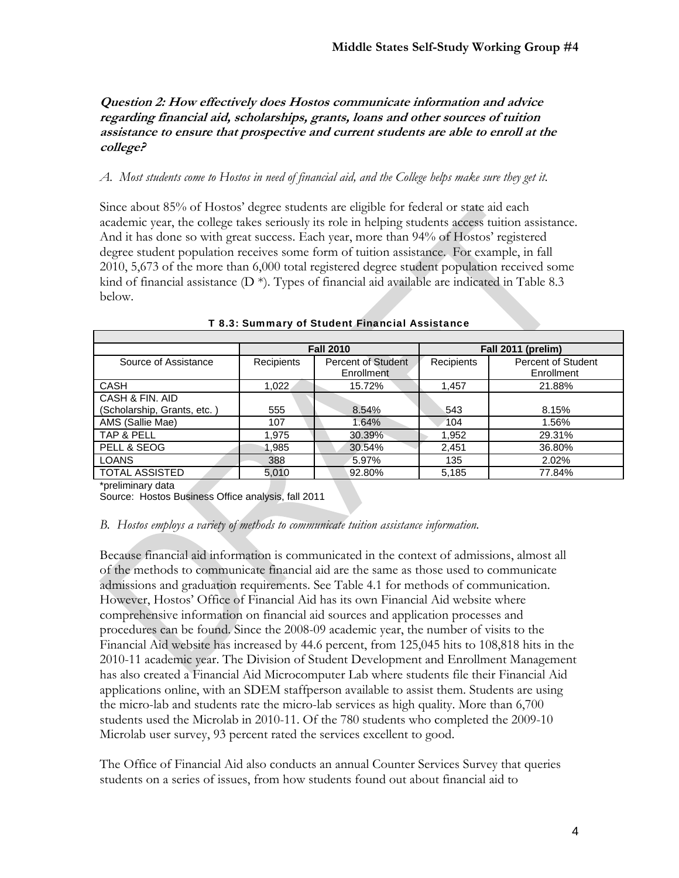## **Question 2: How effectively does Hostos communicate information and advice regarding financial aid, scholarships, grants, loans and other sources of tuition assistance to ensure that prospective and current students are able to enroll at the college?**

#### *A. Most students come to Hostos in need of financial aid, and the College helps make sure they get it.*

Since about 85% of Hostos' degree students are eligible for federal or state aid each academic year, the college takes seriously its role in helping students access tuition assistance. And it has done so with great success. Each year, more than 94% of Hostos' registered degree student population receives some form of tuition assistance. For example, in fall 2010, 5,673 of the more than 6,000 total registered degree student population received some kind of financial assistance  $(D^*)$ . Types of financial aid available are indicated in Table 8.3 below.

|                             |            | <b>Fall 2010</b>                        | Fall 2011 (prelim) |                                         |  |
|-----------------------------|------------|-----------------------------------------|--------------------|-----------------------------------------|--|
| Source of Assistance        | Recipients | <b>Percent of Student</b><br>Enrollment | Recipients         | <b>Percent of Student</b><br>Enrollment |  |
| <b>CASH</b>                 | 1,022      | 15.72%                                  | 1,457              | 21.88%                                  |  |
| CASH & FIN, AID             |            |                                         |                    |                                         |  |
| (Scholarship, Grants, etc.) | 555        | 8.54%                                   | 543                | 8.15%                                   |  |
| AMS (Sallie Mae)            | 107        | 1.64%                                   | 104                | 1.56%                                   |  |
| TAP & PELL                  | 1,975      | 30.39%                                  | 1,952              | 29.31%                                  |  |
| PELL & SEOG                 | 1.985      | 30.54%                                  | 2,451              | 36.80%                                  |  |
| <b>LOANS</b>                | 388        | 5.97%                                   | 135                | 2.02%                                   |  |
| <b>TOTAL ASSISTED</b>       | 5.010      | 92.80%                                  | 5,185              | 77.84%                                  |  |

#### T 8.3: Summary of Student Financial Assistance

\*preliminary data

Source: Hostos Business Office analysis, fall 2011

#### *B. Hostos employs a variety of methods to communicate tuition assistance information.*

Because financial aid information is communicated in the context of admissions, almost all of the methods to communicate financial aid are the same as those used to communicate admissions and graduation requirements. See Table 4.1 for methods of communication. However, Hostos' Office of Financial Aid has its own Financial Aid website where comprehensive information on financial aid sources and application processes and procedures can be found. Since the 2008-09 academic year, the number of visits to the Financial Aid website has increased by 44.6 percent, from 125,045 hits to 108,818 hits in the 2010-11 academic year. The Division of Student Development and Enrollment Management has also created a Financial Aid Microcomputer Lab where students file their Financial Aid applications online, with an SDEM staffperson available to assist them. Students are using the micro-lab and students rate the micro-lab services as high quality. More than 6,700 students used the Microlab in 2010-11. Of the 780 students who completed the 2009-10 Microlab user survey, 93 percent rated the services excellent to good.

The Office of Financial Aid also conducts an annual Counter Services Survey that queries students on a series of issues, from how students found out about financial aid to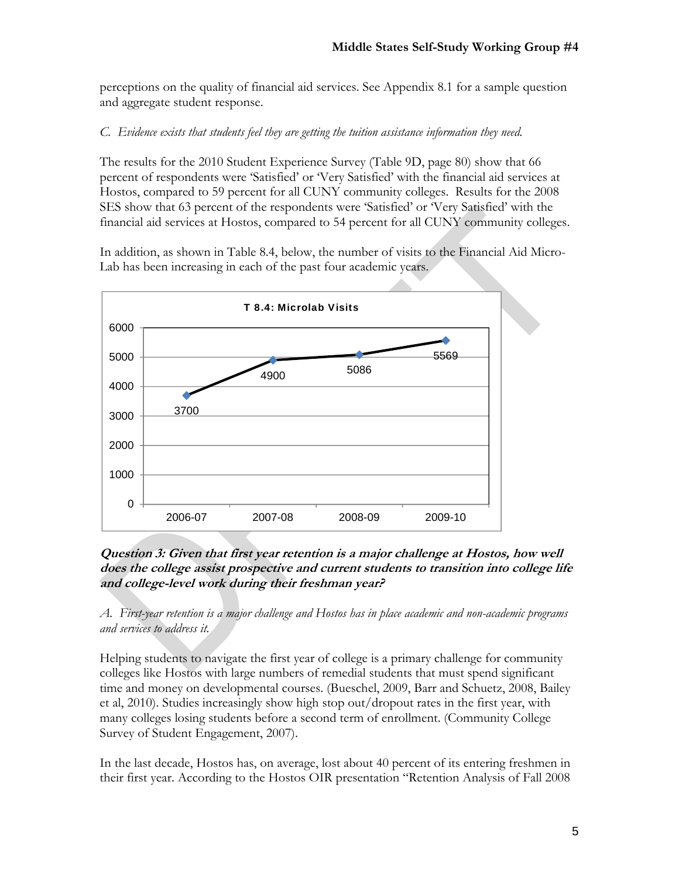perceptions on the quality of financial aid services. See Appendix 8.1 for a sample question and aggregate student response.

# *C. Evidence exists that students feel they are getting the tuition assistance information they need.*

The results for the 2010 Student Experience Survey (Table 9D, page 80) show that 66 percent of respondents were 'Satisfied' or 'Very Satisfied' with the financial aid services at Hostos, compared to 59 percent for all CUNY community colleges. Results for the 2008 SES show that 63 percent of the respondents were 'Satisfied' or 'Very Satisfied' with the financial aid services at Hostos, compared to 54 percent for all CUNY community colleges.

In addition, as shown in Table 8.4, below, the number of visits to the Financial Aid Micro-Lab has been increasing in each of the past four academic years.



**Question 3: Given that first year retention is a major challenge at Hostos, how well does the college assist prospective and current students to transition into college life and college-level work during their freshman year?** 

*A. First-year retention is a major challenge and Hostos has in place academic and non-academic programs and services to address it.* 

Helping students to navigate the first year of college is a primary challenge for community colleges like Hostos with large numbers of remedial students that must spend significant time and money on developmental courses. (Bueschel, 2009, Barr and Schuetz, 2008, Bailey et al, 2010). Studies increasingly show high stop out/dropout rates in the first year, with many colleges losing students before a second term of enrollment. (Community College Survey of Student Engagement, 2007).

In the last decade, Hostos has, on average, lost about 40 percent of its entering freshmen in their first year. According to the Hostos OIR presentation "Retention Analysis of Fall 2008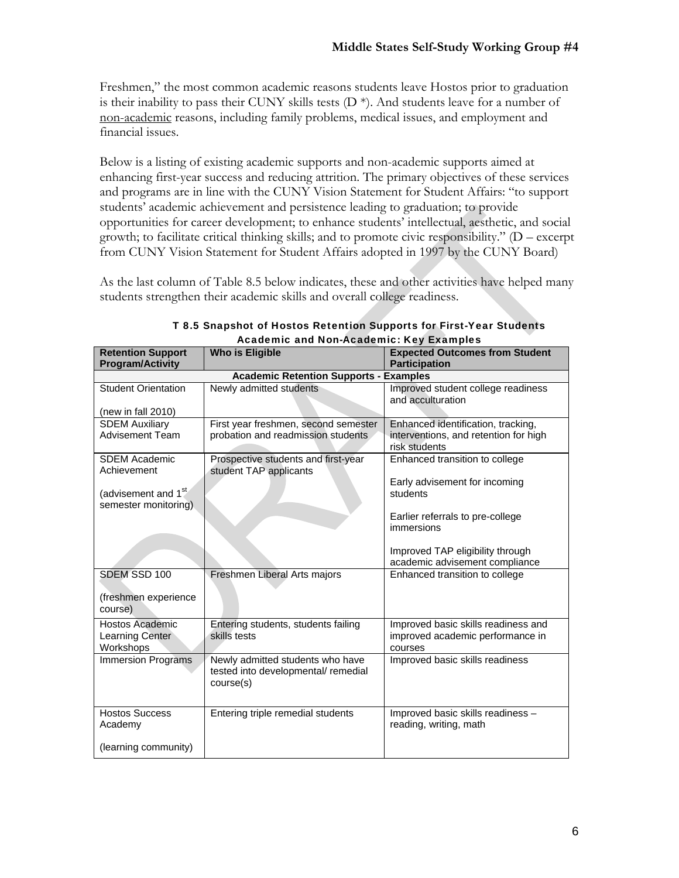Freshmen," the most common academic reasons students leave Hostos prior to graduation is their inability to pass their CUNY skills tests  $(D^*)$ . And students leave for a number of non-academic reasons, including family problems, medical issues, and employment and financial issues.

Below is a listing of existing academic supports and non-academic supports aimed at enhancing first-year success and reducing attrition. The primary objectives of these services and programs are in line with the CUNY Vision Statement for Student Affairs: "to support students' academic achievement and persistence leading to graduation; to provide opportunities for career development; to enhance students' intellectual, aesthetic, and social growth; to facilitate critical thinking skills; and to promote civic responsibility." (D – excerpt from CUNY Vision Statement for Student Affairs adopted in 1997 by the CUNY Board)

As the last column of Table 8.5 below indicates, these and other activities have helped many students strengthen their academic skills and overall college readiness.

|                                                         | Academic and Non-Academic: Key Examples                                              |                                                                                    |  |  |  |  |  |  |  |
|---------------------------------------------------------|--------------------------------------------------------------------------------------|------------------------------------------------------------------------------------|--|--|--|--|--|--|--|
| <b>Retention Support</b><br><b>Program/Activity</b>     | <b>Who is Eligible</b>                                                               | <b>Expected Outcomes from Student</b><br><b>Participation</b>                      |  |  |  |  |  |  |  |
|                                                         | <b>Academic Retention Supports - Examples</b>                                        |                                                                                    |  |  |  |  |  |  |  |
| <b>Student Orientation</b><br>(new in fall 2010)        | Newly admitted students                                                              | Improved student college readiness<br>and acculturation                            |  |  |  |  |  |  |  |
| <b>SDEM Auxiliary</b>                                   | First year freshmen, second semester                                                 | Enhanced identification, tracking,                                                 |  |  |  |  |  |  |  |
| <b>Advisement Team</b>                                  | probation and readmission students                                                   | interventions, and retention for high<br>risk students                             |  |  |  |  |  |  |  |
| <b>SDEM Academic</b><br>Achievement                     | Prospective students and first-year<br>student TAP applicants                        | Enhanced transition to college                                                     |  |  |  |  |  |  |  |
| (advisement and 1 <sup>st</sup><br>semester monitoring) |                                                                                      | Early advisement for incoming<br>students                                          |  |  |  |  |  |  |  |
|                                                         |                                                                                      | Earlier referrals to pre-college<br>immersions                                     |  |  |  |  |  |  |  |
|                                                         |                                                                                      | Improved TAP eligibility through<br>academic advisement compliance                 |  |  |  |  |  |  |  |
| SDEM SSD 100                                            | Freshmen Liberal Arts majors                                                         | Enhanced transition to college                                                     |  |  |  |  |  |  |  |
| (freshmen experience<br>course)                         |                                                                                      |                                                                                    |  |  |  |  |  |  |  |
| Hostos Academic<br>Learning Center<br>Workshops         | Entering students, students failing<br>skills tests                                  | Improved basic skills readiness and<br>improved academic performance in<br>courses |  |  |  |  |  |  |  |
| <b>Immersion Programs</b>                               | Newly admitted students who have<br>tested into developmental/ remedial<br>course(s) | Improved basic skills readiness                                                    |  |  |  |  |  |  |  |
| <b>Hostos Success</b><br>Academy                        | Entering triple remedial students                                                    | Improved basic skills readiness -<br>reading, writing, math                        |  |  |  |  |  |  |  |
| (learning community)                                    |                                                                                      |                                                                                    |  |  |  |  |  |  |  |

T 8.5 Snapshot of Hostos Retention Supports for First-Year Students Academic and Non-Academic: Key Examples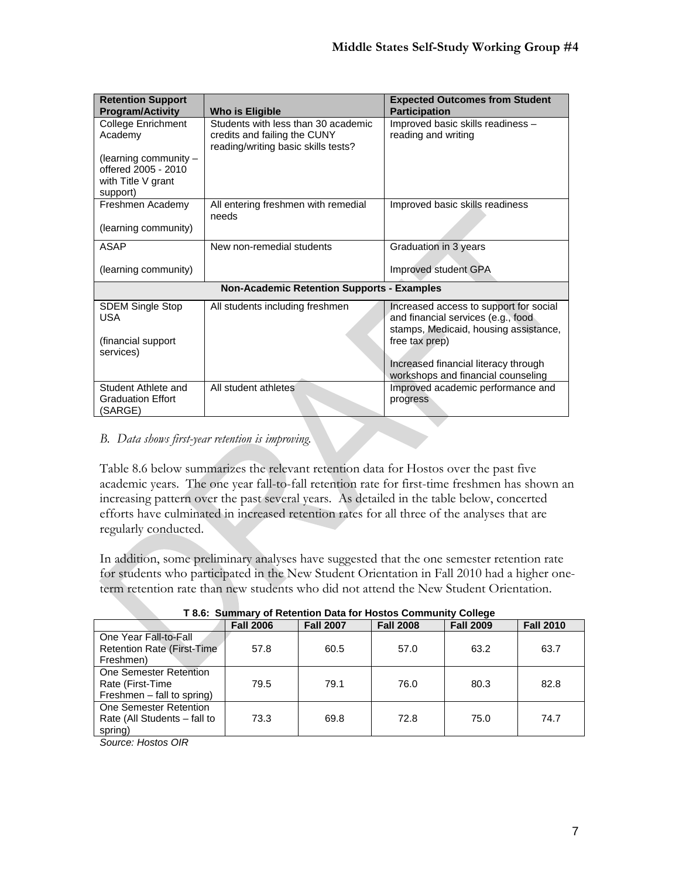| <b>Retention Support</b><br><b>Program/Activity</b>                                                        | Who is Eligible                                                                                            | <b>Expected Outcomes from Student</b><br><b>Participation</b>                                                                                                                                                         |
|------------------------------------------------------------------------------------------------------------|------------------------------------------------------------------------------------------------------------|-----------------------------------------------------------------------------------------------------------------------------------------------------------------------------------------------------------------------|
| <b>College Enrichment</b><br>Academy<br>(learning community -<br>offered 2005 - 2010<br>with Title V grant | Students with less than 30 academic<br>credits and failing the CUNY<br>reading/writing basic skills tests? | Improved basic skills readiness -<br>reading and writing                                                                                                                                                              |
| support)<br>Freshmen Academy<br>(learning community)                                                       | All entering freshmen with remedial<br>needs                                                               | Improved basic skills readiness                                                                                                                                                                                       |
| <b>ASAP</b>                                                                                                | New non-remedial students                                                                                  | Graduation in 3 years                                                                                                                                                                                                 |
| (learning community)                                                                                       |                                                                                                            | Improved student GPA                                                                                                                                                                                                  |
|                                                                                                            | <b>Non-Academic Retention Supports - Examples</b>                                                          |                                                                                                                                                                                                                       |
| <b>SDEM Single Stop</b><br><b>USA</b><br>(financial support)<br>services)                                  | All students including freshmen                                                                            | Increased access to support for social<br>and financial services (e.g., food<br>stamps, Medicaid, housing assistance,<br>free tax prep)<br>Increased financial literacy through<br>workshops and financial counseling |
| Student Athlete and<br><b>Graduation Effort</b><br>(SARGE)                                                 | All student athletes                                                                                       | Improved academic performance and<br>progress                                                                                                                                                                         |

# *B. Data shows first-year retention is improving.*

Table 8.6 below summarizes the relevant retention data for Hostos over the past five academic years. The one year fall-to-fall retention rate for first-time freshmen has shown an increasing pattern over the past several years. As detailed in the table below, concerted efforts have culminated in increased retention rates for all three of the analyses that are regularly conducted.

In addition, some preliminary analyses have suggested that the one semester retention rate for students who participated in the New Student Orientation in Fall 2010 had a higher oneterm retention rate than new students who did not attend the New Student Orientation.

|                              | <b>Fall 2006</b> | <b>Fall 2007</b> | <b>Fall 2008</b> | <b>Fall 2009</b> | <b>Fall 2010</b> |
|------------------------------|------------------|------------------|------------------|------------------|------------------|
| One Year Fall-to-Fall        |                  |                  |                  |                  |                  |
| Retention Rate (First-Time)  | 57.8             | 60.5             | 57.0             | 63.2             | 63.7             |
| Freshmen)                    |                  |                  |                  |                  |                  |
| One Semester Retention       |                  |                  |                  |                  |                  |
| Rate (First-Time)            | 79.5             | 79.1             | 76.0             | 80.3             | 82.8             |
| Freshmen – fall to spring)   |                  |                  |                  |                  |                  |
| One Semester Retention       |                  |                  |                  |                  |                  |
| Rate (All Students - fall to | 73.3             | 69.8             | 72.8             | 75.0             | 74.7             |
| spring)                      |                  |                  |                  |                  |                  |

# **T 8.6: Summary of Retention Data for Hostos Community College**

*Source: Hostos OIR*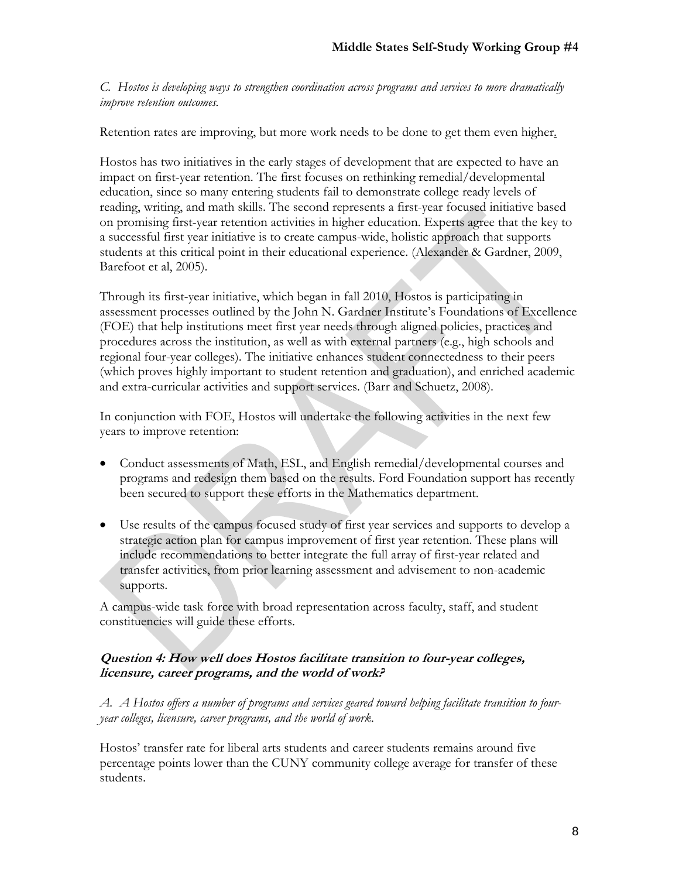*C. Hostos is developing ways to strengthen coordination across programs and services to more dramatically improve retention outcomes.* 

Retention rates are improving, but more work needs to be done to get them even higher.

Hostos has two initiatives in the early stages of development that are expected to have an impact on first-year retention. The first focuses on rethinking remedial/developmental education, since so many entering students fail to demonstrate college ready levels of reading, writing, and math skills. The second represents a first-year focused initiative based on promising first-year retention activities in higher education. Experts agree that the key to a successful first year initiative is to create campus-wide, holistic approach that supports students at this critical point in their educational experience. (Alexander & Gardner, 2009, Barefoot et al, 2005).

Through its first-year initiative, which began in fall 2010, Hostos is participating in assessment processes outlined by the John N. Gardner Institute's Foundations of Excellence (FOE) that help institutions meet first year needs through aligned policies, practices and procedures across the institution, as well as with external partners (e.g., high schools and regional four-year colleges). The initiative enhances student connectedness to their peers (which proves highly important to student retention and graduation), and enriched academic and extra-curricular activities and support services. (Barr and Schuetz, 2008).

In conjunction with FOE, Hostos will undertake the following activities in the next few years to improve retention:

- Conduct assessments of Math, ESL, and English remedial/developmental courses and programs and redesign them based on the results. Ford Foundation support has recently been secured to support these efforts in the Mathematics department.
- Use results of the campus focused study of first year services and supports to develop a strategic action plan for campus improvement of first year retention. These plans will include recommendations to better integrate the full array of first-year related and transfer activities, from prior learning assessment and advisement to non-academic supports.

A campus-wide task force with broad representation across faculty, staff, and student constituencies will guide these efforts.

# **Question 4: How well does Hostos facilitate transition to four-year colleges, licensure, career programs, and the world of work?**

*A. A Hostos offers a number of programs and services geared toward helping facilitate transition to fouryear colleges, licensure, career programs, and the world of work.* 

Hostos' transfer rate for liberal arts students and career students remains around five percentage points lower than the CUNY community college average for transfer of these students.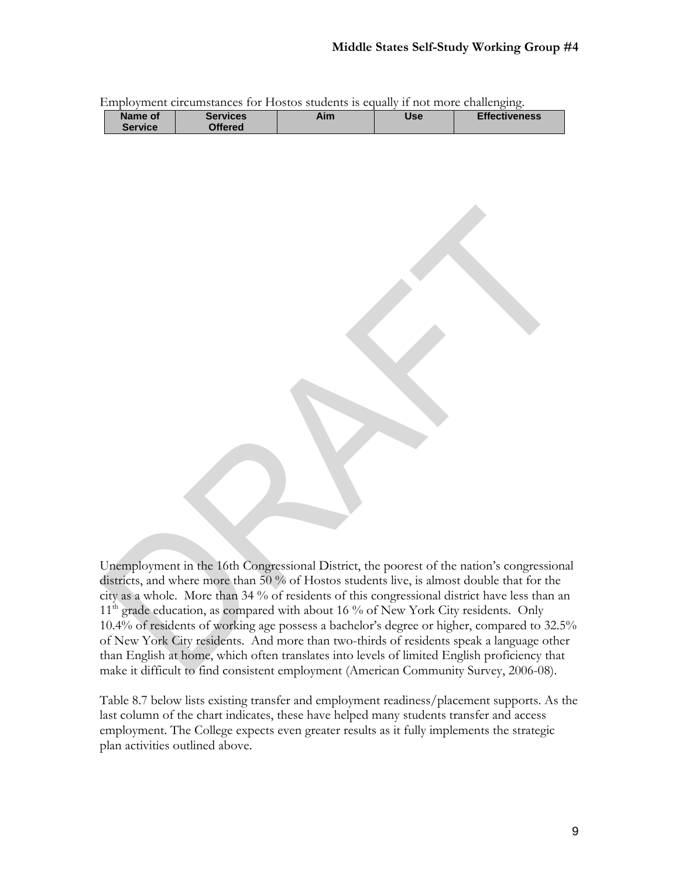|         | LIIIpiovinchi cheqinsiances iyi i iyətəs studentə iş equaliy il not mole chanchging. |     |     |                      |
|---------|--------------------------------------------------------------------------------------|-----|-----|----------------------|
| Name of | Services                                                                             | Aim | Use | <b>Effectiveness</b> |
| Service | <b>Offered</b>                                                                       |     |     |                      |
|         |                                                                                      |     |     |                      |

Employment circumstances for Hostos students is equally if not more challenging.

Unemployment in the 16th Congressional District, the poorest of the nation's congressional districts, and where more than 50 % of Hostos students live, is almost double that for the city as a whole. More than 34 % of residents of this congressional district have less than an 11<sup>th</sup> grade education, as compared with about 16 % of New York City residents. Only 10.4% of residents of working age possess a bachelor's degree or higher, compared to 32.5% of New York City residents. And more than two-thirds of residents speak a language other than English at home, which often translates into levels of limited English proficiency that make it difficult to find consistent employment (American Community Survey, 2006-08).

Table 8.7 below lists existing transfer and employment readiness/placement supports. As the last column of the chart indicates, these have helped many students transfer and access employment. The College expects even greater results as it fully implements the strategic plan activities outlined above.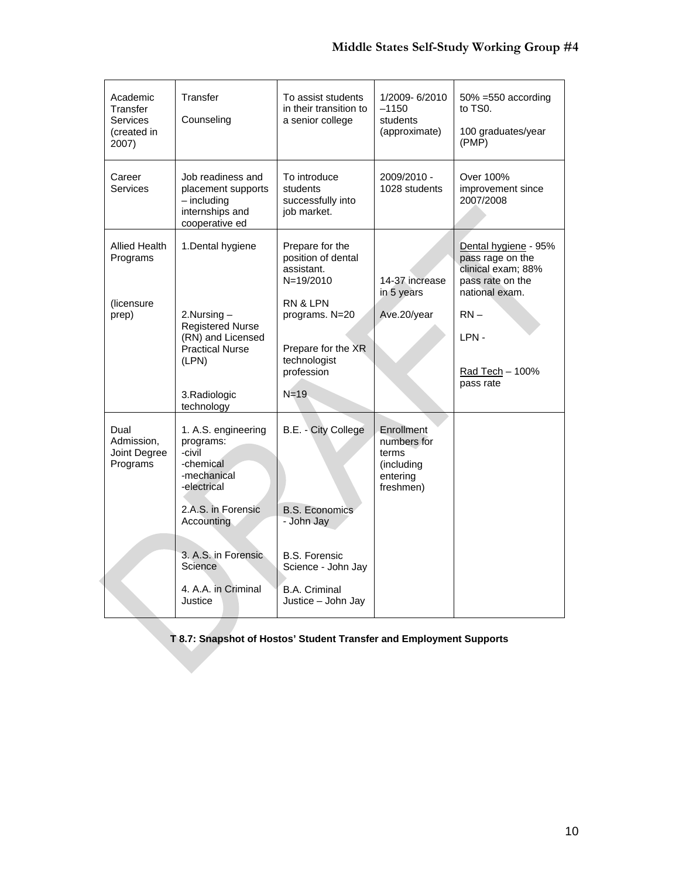| Academic<br>Transfer<br>Services<br>(created in<br>2007) | Transfer<br>Counseling                                                                                                                                                                                             | To assist students<br>in their transition to<br>a senior college                                                                                                 | 1/2009-6/2010<br>$-1150$<br>students<br>(approximate)                     | $50\% = 550$ according<br>to TS0.<br>100 graduates/year<br>(PMP)                                                                                       |
|----------------------------------------------------------|--------------------------------------------------------------------------------------------------------------------------------------------------------------------------------------------------------------------|------------------------------------------------------------------------------------------------------------------------------------------------------------------|---------------------------------------------------------------------------|--------------------------------------------------------------------------------------------------------------------------------------------------------|
| Career<br>Services                                       | Job readiness and<br>placement supports<br>$-$ including<br>internships and<br>cooperative ed                                                                                                                      | To introduce<br>students<br>successfully into<br>job market.                                                                                                     | 2009/2010 -<br>1028 students                                              | Over 100%<br>improvement since<br>2007/2008                                                                                                            |
| <b>Allied Health</b><br>Programs<br>(licensure<br>prep)  | 1. Dental hygiene<br>$2.$ Nursing $-$<br><b>Registered Nurse</b><br>(RN) and Licensed<br><b>Practical Nurse</b><br>(LPN)<br>3.Radiologic                                                                           | Prepare for the<br>position of dental<br>assistant.<br>$N = 19/2010$<br>RN & LPN<br>programs. N=20<br>Prepare for the XR<br>technologist<br>profession<br>$N=19$ | 14-37 increase<br>in 5 years<br>Ave.20/year                               | Dental hygiene - 95%<br>pass rage on the<br>clinical exam; 88%<br>pass rate on the<br>national exam.<br>$RN -$<br>LPN-<br>Rad Tech - 100%<br>pass rate |
| Dual<br>Admission,<br>Joint Degree<br>Programs           | technology<br>1. A.S. engineering<br>programs:<br>-civil<br>-chemical<br>-mechanical<br>-electrical<br>2.A.S. in Forensic<br>Accounting<br>3. A.S. in Forensic<br><b>Science</b><br>4. A.A. in Criminal<br>Justice | B.E. - City College<br><b>B.S. Economics</b><br>- John Jay<br><b>B.S. Forensic</b><br>Science - John Jay<br><b>B.A. Criminal</b><br>Justice - John Jay           | Enrollment<br>numbers for<br>terms<br>(including<br>entering<br>freshmen) |                                                                                                                                                        |

# **T 8.7: Snapshot of Hostos' Student Transfer and Employment Supports**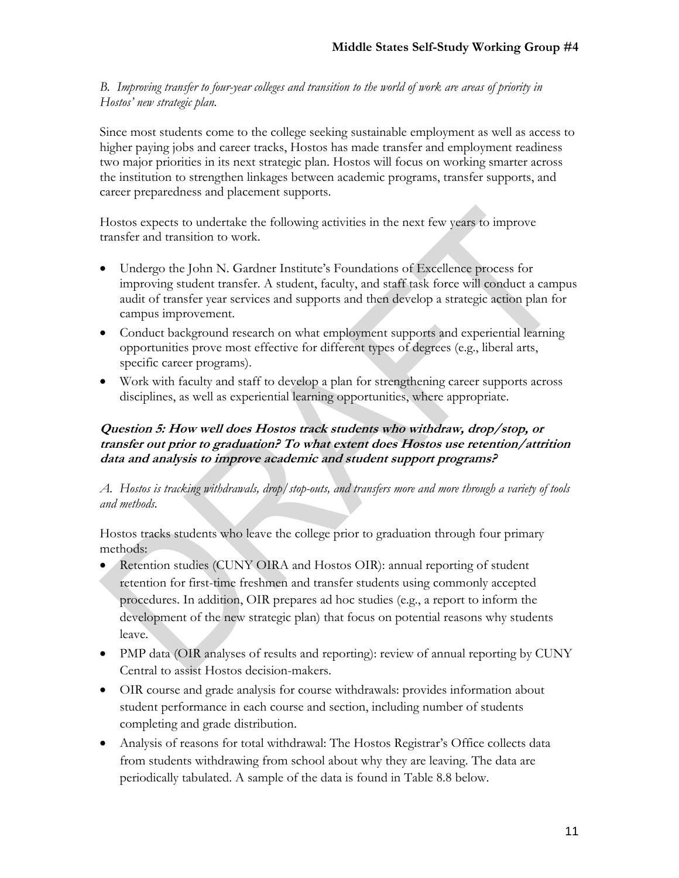*B. Improving transfer to four-year colleges and transition to the world of work are areas of priority in Hostos' new strategic plan.* 

Since most students come to the college seeking sustainable employment as well as access to higher paying jobs and career tracks, Hostos has made transfer and employment readiness two major priorities in its next strategic plan. Hostos will focus on working smarter across the institution to strengthen linkages between academic programs, transfer supports, and career preparedness and placement supports.

Hostos expects to undertake the following activities in the next few years to improve transfer and transition to work.

- Undergo the John N. Gardner Institute's Foundations of Excellence process for improving student transfer. A student, faculty, and staff task force will conduct a campus audit of transfer year services and supports and then develop a strategic action plan for campus improvement.
- Conduct background research on what employment supports and experiential learning opportunities prove most effective for different types of degrees (e.g., liberal arts, specific career programs).
- Work with faculty and staff to develop a plan for strengthening career supports across disciplines, as well as experiential learning opportunities, where appropriate.

# **Question 5: How well does Hostos track students who withdraw, drop/stop, or transfer out prior to graduation? To what extent does Hostos use retention/attrition data and analysis to improve academic and student support programs?**

# *A. Hostos is tracking withdrawals, drop/stop-outs, and transfers more and more through a variety of tools and methods.*

Hostos tracks students who leave the college prior to graduation through four primary methods:

- Retention studies (CUNY OIRA and Hostos OIR): annual reporting of student retention for first-time freshmen and transfer students using commonly accepted procedures. In addition, OIR prepares ad hoc studies (e.g., a report to inform the development of the new strategic plan) that focus on potential reasons why students leave.
- PMP data (OIR analyses of results and reporting): review of annual reporting by CUNY Central to assist Hostos decision-makers.
- OIR course and grade analysis for course withdrawals: provides information about student performance in each course and section, including number of students completing and grade distribution.
- Analysis of reasons for total withdrawal: The Hostos Registrar's Office collects data from students withdrawing from school about why they are leaving. The data are periodically tabulated. A sample of the data is found in Table 8.8 below.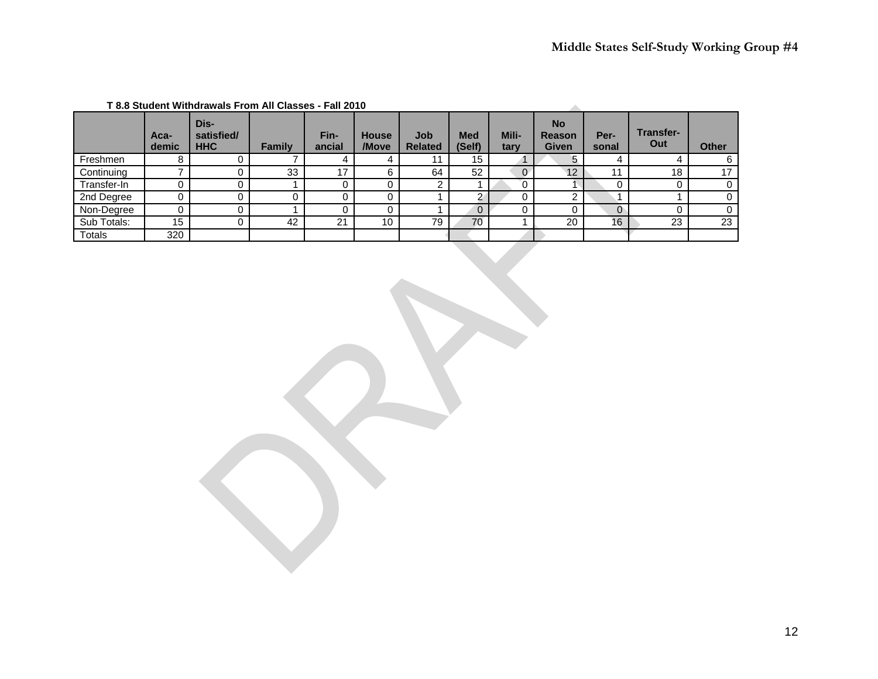| 1 GU LV I V |               |                                  |        |                |                       |                       |                      |               |                                            |               |                         |              |
|-------------|---------------|----------------------------------|--------|----------------|-----------------------|-----------------------|----------------------|---------------|--------------------------------------------|---------------|-------------------------|--------------|
|             | Aca-<br>demic | Dis-<br>satisfied/<br><b>HHC</b> | Family | Fin-<br>ancial | <b>House</b><br>/Move | Job<br><b>Related</b> | <b>Med</b><br>(Self) | Mili-<br>tary | <b>No</b><br><b>Reason</b><br><b>Given</b> | Per-<br>sonal | <b>Transfer-</b><br>Out | <b>Other</b> |
| Freshmen    |               |                                  |        | 4              |                       |                       | 15                   |               | 5                                          |               |                         | 6            |
| Continuing  |               |                                  | 33     | 17             | 6                     | 64                    | 52                   |               | 12                                         | 11            | 18                      | 17           |
| Transfer-In |               | U                                |        |                |                       |                       |                      |               |                                            |               |                         | $\Omega$     |
| 2nd Degree  |               |                                  |        |                |                       |                       |                      |               | າ                                          |               |                         | $\Omega$     |
| Non-Degree  |               |                                  |        |                |                       |                       | 0                    |               |                                            |               |                         |              |
| Sub Totals: | 15            |                                  | 42     | 21             | 10                    | 79                    | 70                   |               | 20                                         | 16            | 23                      | 23           |
| Totals      | 320           |                                  |        |                |                       |                       |                      |               |                                            |               |                         |              |

#### **T 8.8 Student Withdrawals From All Classes - Fall 2010**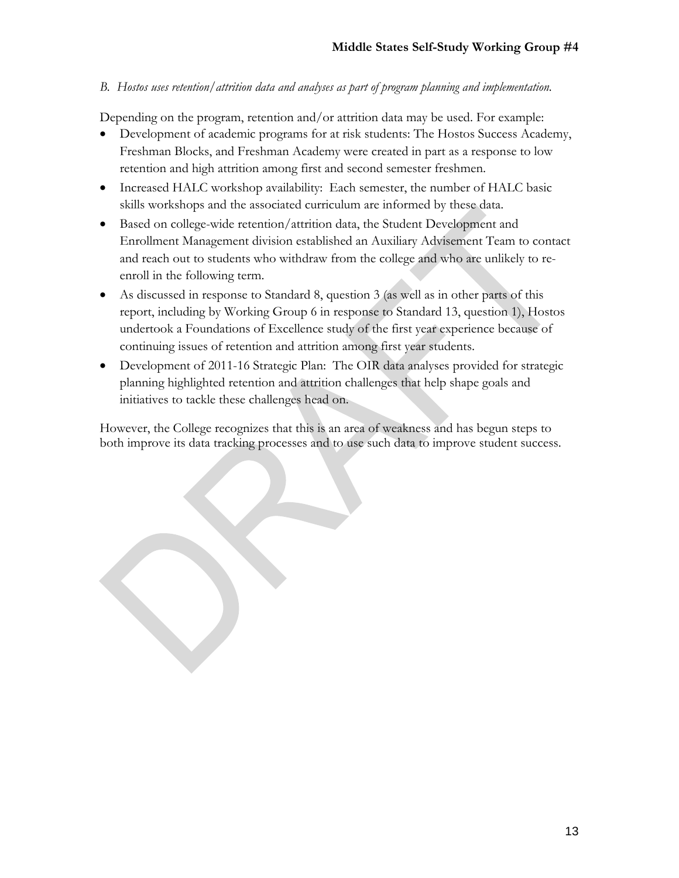# *B. Hostos uses retention/attrition data and analyses as part of program planning and implementation.*

Depending on the program, retention and/or attrition data may be used. For example:

- Development of academic programs for at risk students: The Hostos Success Academy, Freshman Blocks, and Freshman Academy were created in part as a response to low retention and high attrition among first and second semester freshmen.
- Increased HALC workshop availability: Each semester, the number of HALC basic skills workshops and the associated curriculum are informed by these data.
- Based on college-wide retention/attrition data, the Student Development and Enrollment Management division established an Auxiliary Advisement Team to contact and reach out to students who withdraw from the college and who are unlikely to reenroll in the following term.
- As discussed in response to Standard 8, question 3 (as well as in other parts of this report, including by Working Group 6 in response to Standard 13, question 1), Hostos undertook a Foundations of Excellence study of the first year experience because of continuing issues of retention and attrition among first year students.
- Development of 2011-16 Strategic Plan: The OIR data analyses provided for strategic planning highlighted retention and attrition challenges that help shape goals and initiatives to tackle these challenges head on.

However, the College recognizes that this is an area of weakness and has begun steps to both improve its data tracking processes and to use such data to improve student success.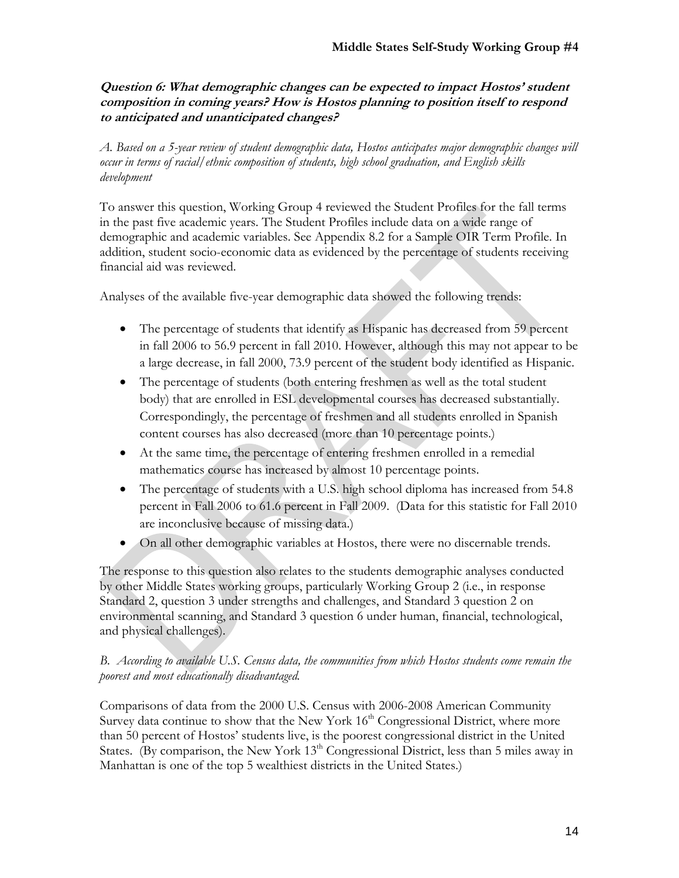# **Question 6: What demographic changes can be expected to impact Hostos' student composition in coming years? How is Hostos planning to position itself to respond to anticipated and unanticipated changes?**

*A. Based on a 5-year review of student demographic data, Hostos anticipates major demographic changes will occur in terms of racial/ethnic composition of students, high school graduation, and English skills development* 

To answer this question, Working Group 4 reviewed the Student Profiles for the fall terms in the past five academic years. The Student Profiles include data on a wide range of demographic and academic variables. See Appendix 8.2 for a Sample OIR Term Profile. In addition, student socio-economic data as evidenced by the percentage of students receiving financial aid was reviewed.

Analyses of the available five-year demographic data showed the following trends:

- The percentage of students that identify as Hispanic has decreased from 59 percent in fall 2006 to 56.9 percent in fall 2010. However, although this may not appear to be a large decrease, in fall 2000, 73.9 percent of the student body identified as Hispanic.
- The percentage of students (both entering freshmen as well as the total student body) that are enrolled in ESL developmental courses has decreased substantially. Correspondingly, the percentage of freshmen and all students enrolled in Spanish content courses has also decreased (more than 10 percentage points.)
- At the same time, the percentage of entering freshmen enrolled in a remedial mathematics course has increased by almost 10 percentage points.
- The percentage of students with a U.S. high school diploma has increased from 54.8 percent in Fall 2006 to 61.6 percent in Fall 2009. (Data for this statistic for Fall 2010 are inconclusive because of missing data.)
- On all other demographic variables at Hostos, there were no discernable trends.

The response to this question also relates to the students demographic analyses conducted by other Middle States working groups, particularly Working Group 2 (i.e., in response Standard 2, question 3 under strengths and challenges, and Standard 3 question 2 on environmental scanning, and Standard 3 question 6 under human, financial, technological, and physical challenges).

# *B. According to available U.S. Census data, the communities from which Hostos students come remain the poorest and most educationally disadvantaged.*

Comparisons of data from the 2000 U.S. Census with 2006-2008 American Community Survey data continue to show that the New York  $16<sup>th</sup>$  Congressional District, where more than 50 percent of Hostos' students live, is the poorest congressional district in the United States. (By comparison, the New York  $13<sup>th</sup>$  Congressional District, less than 5 miles away in Manhattan is one of the top 5 wealthiest districts in the United States.)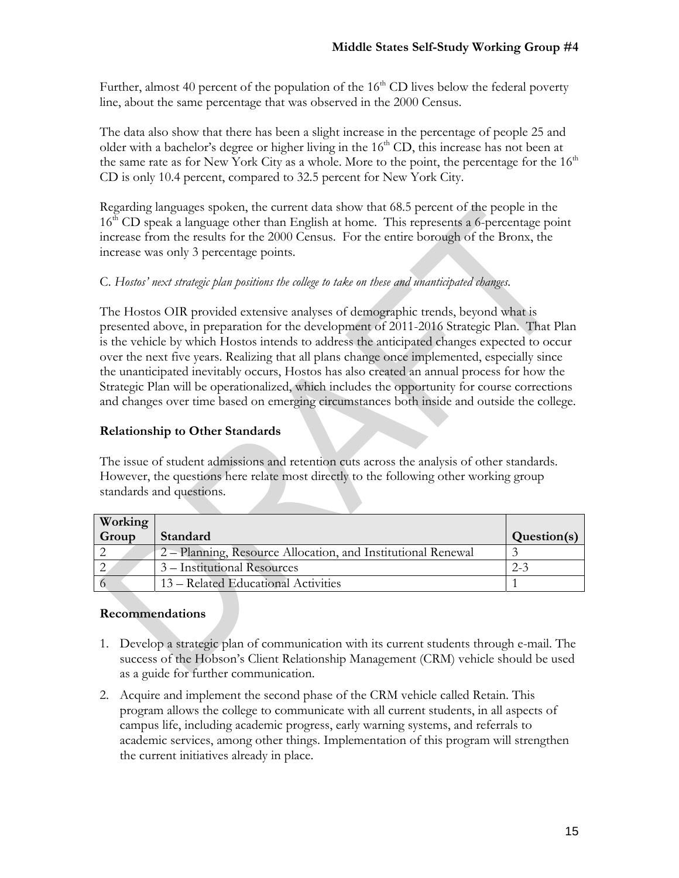Further, almost 40 percent of the population of the  $16<sup>th</sup>$  CD lives below the federal poverty line, about the same percentage that was observed in the 2000 Census.

The data also show that there has been a slight increase in the percentage of people 25 and older with a bachelor's degree or higher living in the  $16<sup>th</sup>$  CD, this increase has not been at the same rate as for New York City as a whole. More to the point, the percentage for the  $16<sup>th</sup>$ CD is only 10.4 percent, compared to 32.5 percent for New York City.

Regarding languages spoken, the current data show that 68.5 percent of the people in the 16<sup>th</sup> CD speak a language other than English at home. This represents a 6-percentage point increase from the results for the 2000 Census. For the entire borough of the Bronx, the increase was only 3 percentage points.

# C. *Hostos' next strategic plan positions the college to take on these and unanticipated changes.*

The Hostos OIR provided extensive analyses of demographic trends, beyond what is presented above, in preparation for the development of 2011-2016 Strategic Plan. That Plan is the vehicle by which Hostos intends to address the anticipated changes expected to occur over the next five years. Realizing that all plans change once implemented, especially since the unanticipated inevitably occurs, Hostos has also created an annual process for how the Strategic Plan will be operationalized, which includes the opportunity for course corrections and changes over time based on emerging circumstances both inside and outside the college.

# **Relationship to Other Standards**

The issue of student admissions and retention cuts across the analysis of other standards. However, the questions here relate most directly to the following other working group standards and questions.

| <b>Working</b> |                                                              |             |
|----------------|--------------------------------------------------------------|-------------|
| Group          | Standard                                                     | Question(s) |
|                | 2 – Planning, Resource Allocation, and Institutional Renewal |             |
|                | 3 – Institutional Resources                                  | $2 - 3$     |
|                | 13 – Related Educational Activities                          |             |

# **Recommendations**

- 1. Develop a strategic plan of communication with its current students through e-mail. The success of the Hobson's Client Relationship Management (CRM) vehicle should be used as a guide for further communication.
- 2. Acquire and implement the second phase of the CRM vehicle called Retain. This program allows the college to communicate with all current students, in all aspects of campus life, including academic progress, early warning systems, and referrals to academic services, among other things. Implementation of this program will strengthen the current initiatives already in place.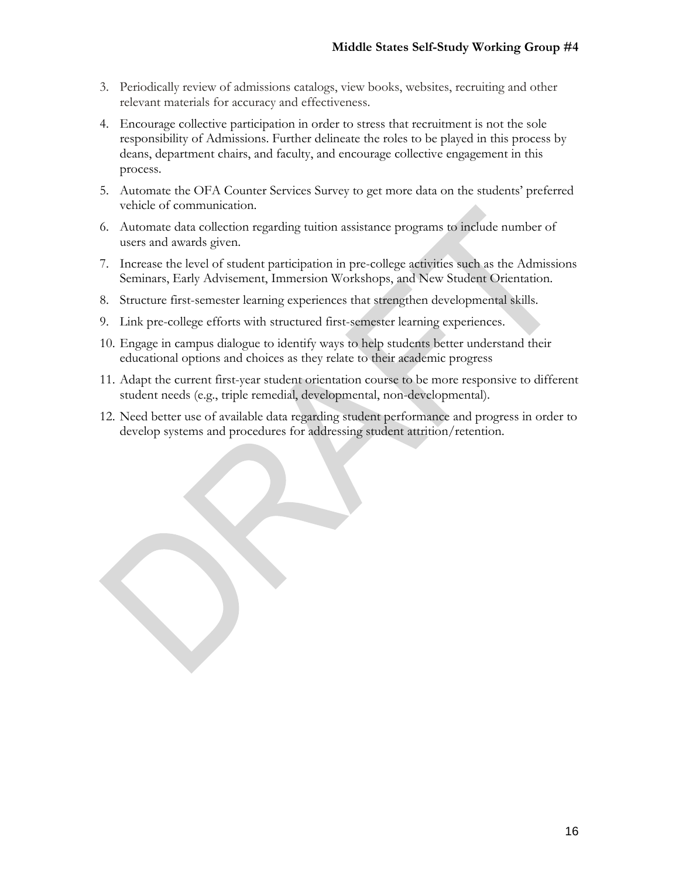- 3. Periodically review of admissions catalogs, view books, websites, recruiting and other relevant materials for accuracy and effectiveness.
- 4. Encourage collective participation in order to stress that recruitment is not the sole responsibility of Admissions. Further delineate the roles to be played in this process by deans, department chairs, and faculty, and encourage collective engagement in this process.
- 5. Automate the OFA Counter Services Survey to get more data on the students' preferred vehicle of communication.
- 6. Automate data collection regarding tuition assistance programs to include number of users and awards given.
- 7. Increase the level of student participation in pre-college activities such as the Admissions Seminars, Early Advisement, Immersion Workshops, and New Student Orientation.
- 8. Structure first-semester learning experiences that strengthen developmental skills.
- 9. Link pre-college efforts with structured first-semester learning experiences.
- 10. Engage in campus dialogue to identify ways to help students better understand their educational options and choices as they relate to their academic progress
- 11. Adapt the current first-year student orientation course to be more responsive to different student needs (e.g., triple remedial, developmental, non-developmental).
- 12. Need better use of available data regarding student performance and progress in order to develop systems and procedures for addressing student attrition/retention.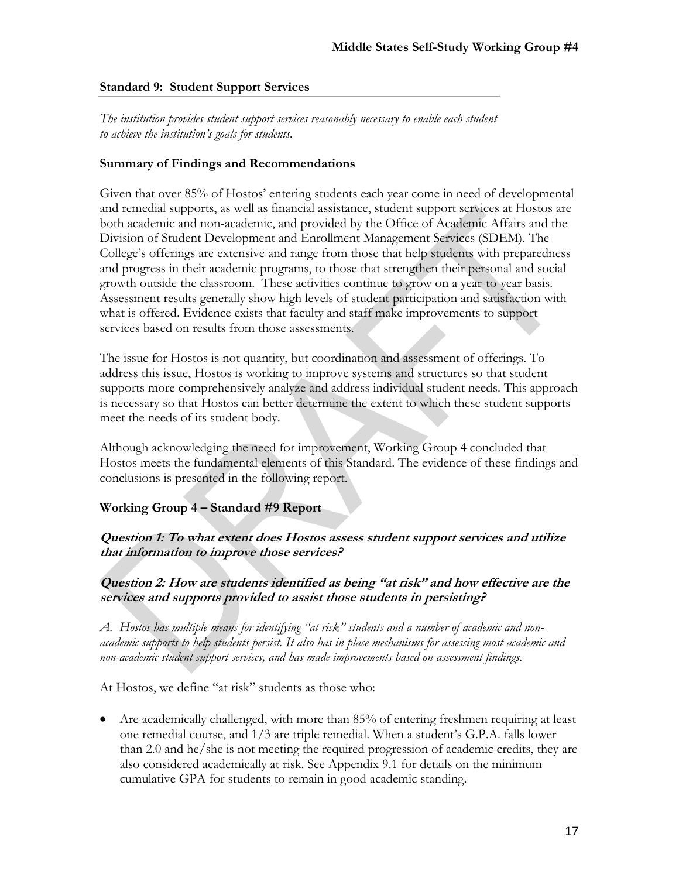#### **Standard 9: Student Support Services**

*The institution provides student support services reasonably necessary to enable each student to achieve the institution's goals for students.* 

### **Summary of Findings and Recommendations**

Given that over 85% of Hostos' entering students each year come in need of developmental and remedial supports, as well as financial assistance, student support services at Hostos are both academic and non-academic, and provided by the Office of Academic Affairs and the Division of Student Development and Enrollment Management Services (SDEM). The College's offerings are extensive and range from those that help students with preparedness and progress in their academic programs, to those that strengthen their personal and social growth outside the classroom. These activities continue to grow on a year-to-year basis. Assessment results generally show high levels of student participation and satisfaction with what is offered. Evidence exists that faculty and staff make improvements to support services based on results from those assessments.

The issue for Hostos is not quantity, but coordination and assessment of offerings. To address this issue, Hostos is working to improve systems and structures so that student supports more comprehensively analyze and address individual student needs. This approach is necessary so that Hostos can better determine the extent to which these student supports meet the needs of its student body.

Although acknowledging the need for improvement, Working Group 4 concluded that Hostos meets the fundamental elements of this Standard. The evidence of these findings and conclusions is presented in the following report.

# **Working Group 4 – Standard #9 Report**

**Question 1: To what extent does Hostos assess student support services and utilize that information to improve those services?** 

**Question 2: How are students identified as being "at risk" and how effective are the services and supports provided to assist those students in persisting?** 

*A. Hostos has multiple means for identifying "at risk" students and a number of academic and nonacademic supports to help students persist. It also has in place mechanisms for assessing most academic and non-academic student support services, and has made improvements based on assessment findings.* 

At Hostos, we define "at risk" students as those who:

 Are academically challenged, with more than 85% of entering freshmen requiring at least one remedial course, and 1/3 are triple remedial. When a student's G.P.A. falls lower than 2.0 and he/she is not meeting the required progression of academic credits, they are also considered academically at risk. See Appendix 9.1 for details on the minimum cumulative GPA for students to remain in good academic standing.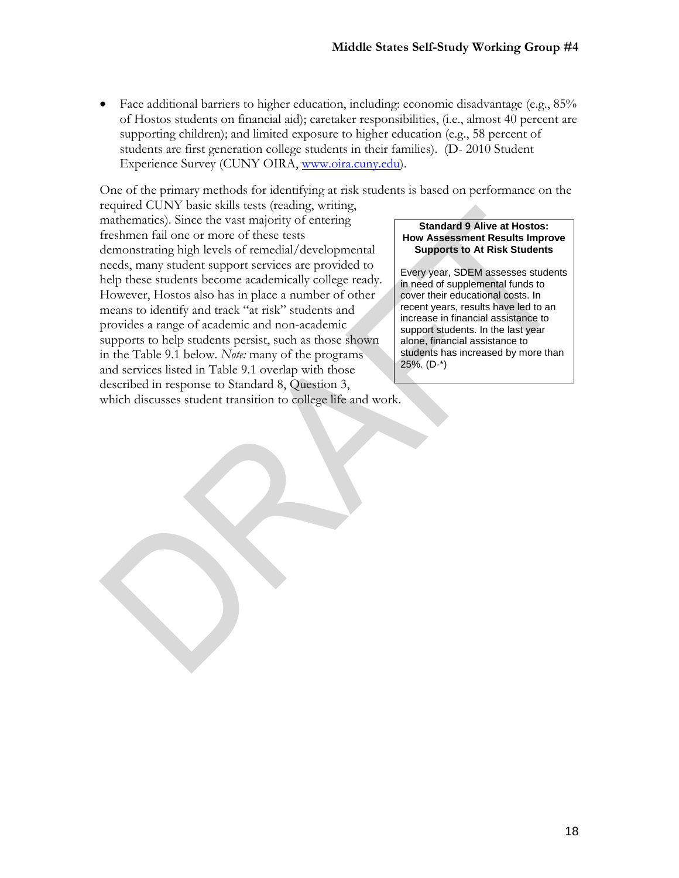Face additional barriers to higher education, including: economic disadvantage (e.g., 85% of Hostos students on financial aid); caretaker responsibilities, (i.e., almost 40 percent are supporting children); and limited exposure to higher education (e.g., 58 percent of students are first generation college students in their families). (D- 2010 Student Experience Survey (CUNY OIRA, www.oira.cuny.edu).

One of the primary methods for identifying at risk students is based on performance on the

required CUNY basic skills tests (reading, writing, mathematics). Since the vast majority of entering freshmen fail one or more of these tests demonstrating high levels of remedial/developmental needs, many student support services are provided to help these students become academically college ready. However, Hostos also has in place a number of other means to identify and track "at risk" students and provides a range of academic and non-academic supports to help students persist, such as those shown in the Table 9.1 below. *Note:* many of the programs and services listed in Table 9.1 overlap with those described in response to Standard 8, Question 3, which discusses student transition to college life and work.

#### **Standard 9 Alive at Hostos: How Assessment Results Improve Supports to At Risk Students**

Every year, SDEM assesses students in need of supplemental funds to cover their educational costs. In recent years, results have led to an increase in financial assistance to support students. In the last year alone, financial assistance to students has increased by more than 25%. (D-\*)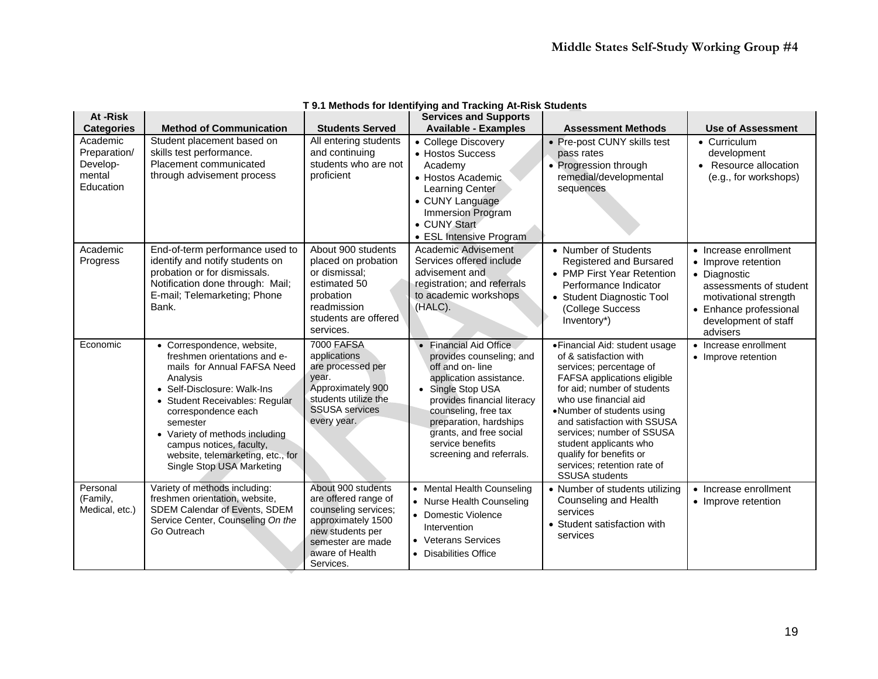| At -Risk<br><b>Categories</b>                               | <b>Method of Communication</b>                                                                                                                                                                                                                                                                                                            | <b>Students Served</b>                                                                                                                                            | <b>Services and Supports</b><br><b>Available - Examples</b>                                                                                                                                                                                                                       | <b>Assessment Methods</b>                                                                                                                                                                                                                                                                                                                                                        | <b>Use of Assessment</b>                                                                                                                                                      |
|-------------------------------------------------------------|-------------------------------------------------------------------------------------------------------------------------------------------------------------------------------------------------------------------------------------------------------------------------------------------------------------------------------------------|-------------------------------------------------------------------------------------------------------------------------------------------------------------------|-----------------------------------------------------------------------------------------------------------------------------------------------------------------------------------------------------------------------------------------------------------------------------------|----------------------------------------------------------------------------------------------------------------------------------------------------------------------------------------------------------------------------------------------------------------------------------------------------------------------------------------------------------------------------------|-------------------------------------------------------------------------------------------------------------------------------------------------------------------------------|
| Academic<br>Preparation/<br>Develop-<br>mental<br>Education | Student placement based on<br>skills test performance.<br>Placement communicated<br>through advisement process                                                                                                                                                                                                                            | All entering students<br>and continuing<br>students who are not<br>proficient                                                                                     | • College Discovery<br>• Hostos Success<br>Academy<br>• Hostos Academic.<br>Learning Center<br>• CUNY Language<br>Immersion Program<br>• CUNY Start<br>• ESL Intensive Program                                                                                                    | • Pre-post CUNY skills test<br>pass rates<br>• Progression through<br>remedial/developmental<br>sequences                                                                                                                                                                                                                                                                        | • Curriculum<br>development<br>• Resource allocation<br>(e.g., for workshops)                                                                                                 |
| Academic<br>Progress                                        | End-of-term performance used to<br>identify and notify students on<br>probation or for dismissals.<br>Notification done through: Mail;<br>E-mail; Telemarketing; Phone<br>Bank.                                                                                                                                                           | About 900 students<br>placed on probation<br>or dismissal;<br>estimated 50<br>probation<br>readmission<br>students are offered<br>services.                       | Academic Advisement<br>Services offered include<br>advisement and<br>registration; and referrals<br>to academic workshops<br>(HALC).                                                                                                                                              | • Number of Students<br>Registered and Bursared<br>• PMP First Year Retention<br>Performance Indicator<br>• Student Diagnostic Tool<br>(College Success<br>Inventory*)                                                                                                                                                                                                           | • Increase enrollment<br>• Improve retention<br>• Diagnostic<br>assessments of student<br>motivational strength<br>• Enhance professional<br>development of staff<br>advisers |
| Economic                                                    | • Correspondence, website,<br>freshmen orientations and e-<br>mails for Annual FAFSA Need<br>Analysis<br>• Self-Disclosure: Walk-Ins<br>• Student Receivables: Regular<br>correspondence each<br>semester<br>• Variety of methods including<br>campus notices, faculty,<br>website, telemarketing, etc., for<br>Single Stop USA Marketing | <b>7000 FAFSA</b><br>applications<br>are processed per<br>year.<br>Approximately 900<br>students utilize the<br><b>SSUSA</b> services<br>every year.              | • Financial Aid Office<br>provides counseling; and<br>off and on-line<br>application assistance.<br>• Single Stop USA<br>provides financial literacy<br>counseling, free tax<br>preparation, hardships<br>grants, and free social<br>service benefits<br>screening and referrals. | · Financial Aid: student usage<br>of & satisfaction with<br>services; percentage of<br>FAFSA applications eligible<br>for aid; number of students<br>who use financial aid<br>•Number of students using<br>and satisfaction with SSUSA<br>services; number of SSUSA<br>student applicants who<br>qualify for benefits or<br>services; retention rate of<br><b>SSUSA</b> students | • Increase enrollment<br>• Improve retention                                                                                                                                  |
| Personal<br>(Family,<br>Medical, etc.)                      | Variety of methods including:<br>freshmen orientation, website,<br>SDEM Calendar of Events, SDEM<br>Service Center, Counseling On the<br>Go Outreach                                                                                                                                                                                      | About 900 students<br>are offered range of<br>counseling services;<br>approximately 1500<br>new students per<br>semester are made<br>aware of Health<br>Services. | • Mental Health Counseling<br>• Nurse Health Counseling<br>• Domestic Violence<br>Intervention<br>• Veterans Services<br>• Disabilities Office                                                                                                                                    | • Number of students utilizing<br>Counseling and Health<br>services<br>• Student satisfaction with<br>services                                                                                                                                                                                                                                                                   | • Increase enrollment<br>• Improve retention                                                                                                                                  |

## **T 9.1 Methods for Identifying and Tracking At-Risk Students**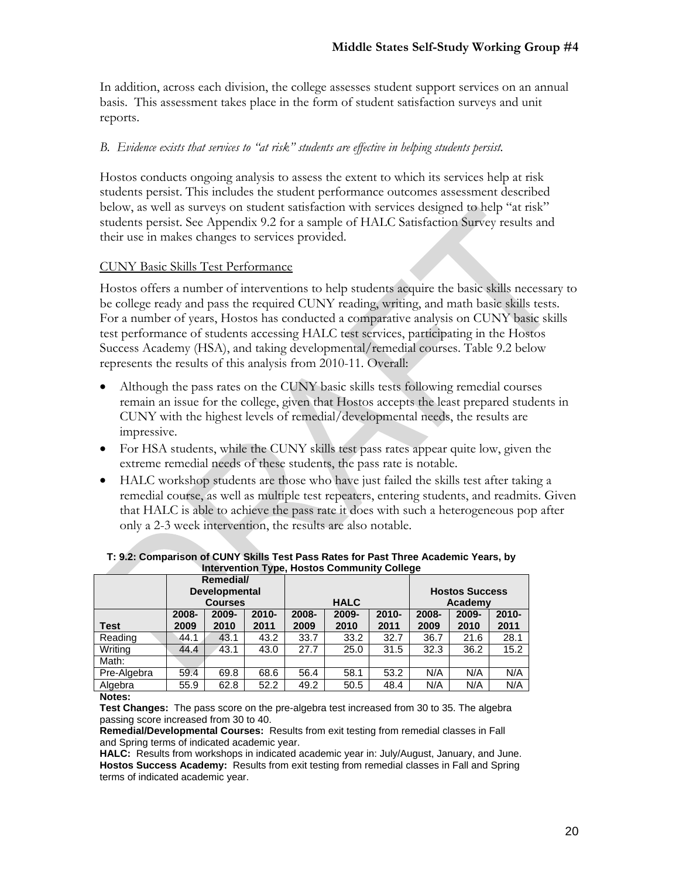In addition, across each division, the college assesses student support services on an annual basis. This assessment takes place in the form of student satisfaction surveys and unit reports.

#### *B. Evidence exists that services to "at risk" students are effective in helping students persist.*

Hostos conducts ongoing analysis to assess the extent to which its services help at risk students persist. This includes the student performance outcomes assessment described below, as well as surveys on student satisfaction with services designed to help "at risk" students persist. See Appendix 9.2 for a sample of HALC Satisfaction Survey results and their use in makes changes to services provided.

#### CUNY Basic Skills Test Performance

Hostos offers a number of interventions to help students acquire the basic skills necessary to be college ready and pass the required CUNY reading, writing, and math basic skills tests. For a number of years, Hostos has conducted a comparative analysis on CUNY basic skills test performance of students accessing HALC test services, participating in the Hostos Success Academy (HSA), and taking developmental/remedial courses. Table 9.2 below represents the results of this analysis from 2010-11. Overall:

- Although the pass rates on the CUNY basic skills tests following remedial courses remain an issue for the college, given that Hostos accepts the least prepared students in CUNY with the highest levels of remedial/developmental needs, the results are impressive.
- For HSA students, while the CUNY skills test pass rates appear quite low, given the extreme remedial needs of these students, the pass rate is notable.
- HALC workshop students are those who have just failed the skills test after taking a remedial course, as well as multiple test repeaters, entering students, and readmits. Given that HALC is able to achieve the pass rate it does with such a heterogeneous pop after only a 2-3 week intervention, the results are also notable.

|             |                      | Remedial/ |          |             |       |          |                       |          |          |
|-------------|----------------------|-----------|----------|-------------|-------|----------|-----------------------|----------|----------|
|             | <b>Developmental</b> |           |          |             |       |          | <b>Hostos Success</b> |          |          |
|             | <b>Courses</b>       |           |          | <b>HALC</b> |       |          | Academy               |          |          |
|             | 2008-                | 2009-     | $2010 -$ | 2008-       | 2009- | $2010 -$ | 2008-                 | $2009 -$ | $2010 -$ |
| Test        | 2009                 | 2010      | 2011     | 2009        | 2010  | 2011     | 2009                  | 2010     | 2011     |
| Reading     | 44.1                 | 43.1      | 43.2     | 33.7        | 33.2  | 32.7     | 36.7                  | 21.6     | 28.1     |
| Writing     | 44.4                 | 43.1      | 43.0     | 27.7        | 25.0  | 31.5     | 32.3                  | 36.2     | 15.2     |
| Math:       |                      |           |          |             |       |          |                       |          |          |
| Pre-Algebra | 59.4                 | 69.8      | 68.6     | 56.4        | 58.1  | 53.2     | N/A                   | N/A      | N/A      |
| Algebra     | 55.9                 | 62.8      | 52.2     | 49.2        | 50.5  | 48.4     | N/A                   | N/A      | N/A      |

#### **T: 9.2: Comparison of CUNY Skills Test Pass Rates for Past Three Academic Years, by Intervention Type, Hostos Community College**

#### **Notes:**

**Test Changes:** The pass score on the pre-algebra test increased from 30 to 35. The algebra passing score increased from 30 to 40.

**Remedial/Developmental Courses:** Results from exit testing from remedial classes in Fall and Spring terms of indicated academic year.

**HALC:** Results from workshops in indicated academic year in: July/August, January, and June. **Hostos Success Academy:** Results from exit testing from remedial classes in Fall and Spring terms of indicated academic year.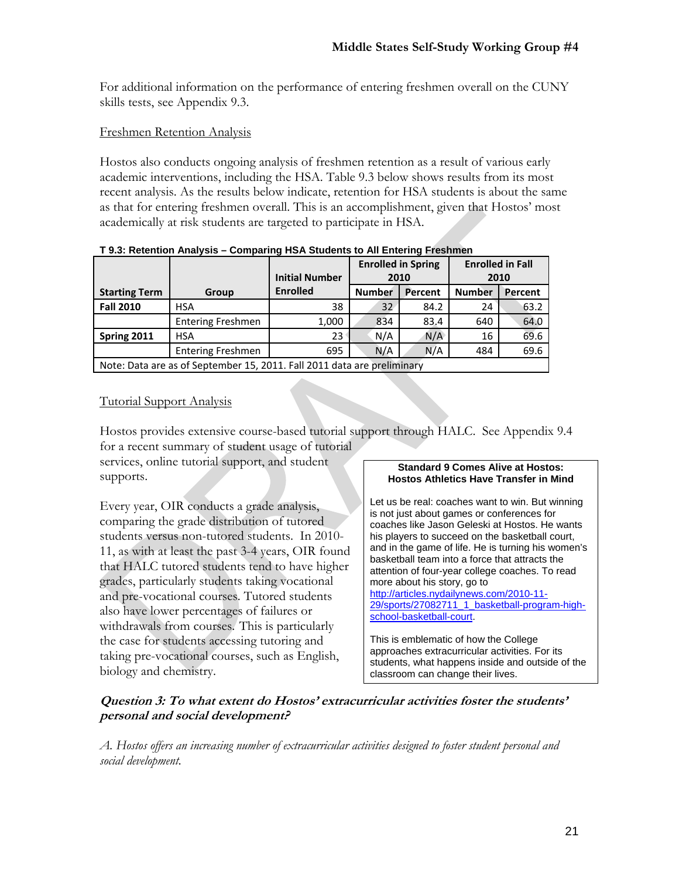For additional information on the performance of entering freshmen overall on the CUNY skills tests, see Appendix 9.3.

### Freshmen Retention Analysis

Hostos also conducts ongoing analysis of freshmen retention as a result of various early academic interventions, including the HSA. Table 9.3 below shows results from its most recent analysis. As the results below indicate, retention for HSA students is about the same as that for entering freshmen overall. This is an accomplishment, given that Hostos' most academically at risk students are targeted to participate in HSA.

|                      |                                                                         | <b>Enrolled in Spring</b><br><b>Initial Number</b><br>2010 |               | <b>Enrolled in Fall</b> | 2010          |         |  |  |  |
|----------------------|-------------------------------------------------------------------------|------------------------------------------------------------|---------------|-------------------------|---------------|---------|--|--|--|
| <b>Starting Term</b> | Group                                                                   | <b>Enrolled</b>                                            | <b>Number</b> | Percent                 | <b>Number</b> | Percent |  |  |  |
| <b>Fall 2010</b>     | <b>HSA</b>                                                              | 38                                                         | 32            | 84.2                    | 24            | 63.2    |  |  |  |
|                      | <b>Entering Freshmen</b>                                                | 1,000                                                      | 834           | 83.4                    | 640           | 64.0    |  |  |  |
| Spring 2011          | <b>HSA</b>                                                              | 23                                                         | N/A           | N/A                     | 16            | 69.6    |  |  |  |
|                      | <b>Entering Freshmen</b>                                                | 695                                                        | N/A           | N/A                     | 484           | 69.6    |  |  |  |
|                      | Note: Data are as of September 15, 2011. Fall 2011 data are preliminary |                                                            |               |                         |               |         |  |  |  |

|  | T 9.3: Retention Analysis - Comparing HSA Students to All Entering Freshmen |
|--|-----------------------------------------------------------------------------|
|  |                                                                             |

### Tutorial Support Analysis

Hostos provides extensive course-based tutorial support through HALC. See Appendix 9.4 for a recent summary of student usage of tutorial

services, online tutorial support, and student supports.

Every year, OIR conducts a grade analysis, comparing the grade distribution of tutored students versus non-tutored students. In 2010- 11, as with at least the past 3-4 years, OIR found that HALC tutored students tend to have higher grades, particularly students taking vocational and pre-vocational courses. Tutored students also have lower percentages of failures or withdrawals from courses. This is particularly the case for students accessing tutoring and taking pre-vocational courses, such as English, biology and chemistry.

#### **Standard 9 Comes Alive at Hostos: Hostos Athletics Have Transfer in Mind**

Let us be real: coaches want to win. But winning is not just about games or conferences for coaches like Jason Geleski at Hostos. He wants his players to succeed on the basketball court, and in the game of life. He is turning his women's basketball team into a force that attracts the attention of four-year college coaches. To read more about his story, go to http://articles.nydailynews.com/2010-11- 29/sports/27082711\_1\_basketball-program-highschool-basketball-court.

This is emblematic of how the College approaches extracurricular activities. For its students, what happens inside and outside of the classroom can change their lives.

# **Question 3: To what extent do Hostos' extracurricular activities foster the students' personal and social development?**

*A. Hostos offers an increasing number of extracurricular activities designed to foster student personal and social development.*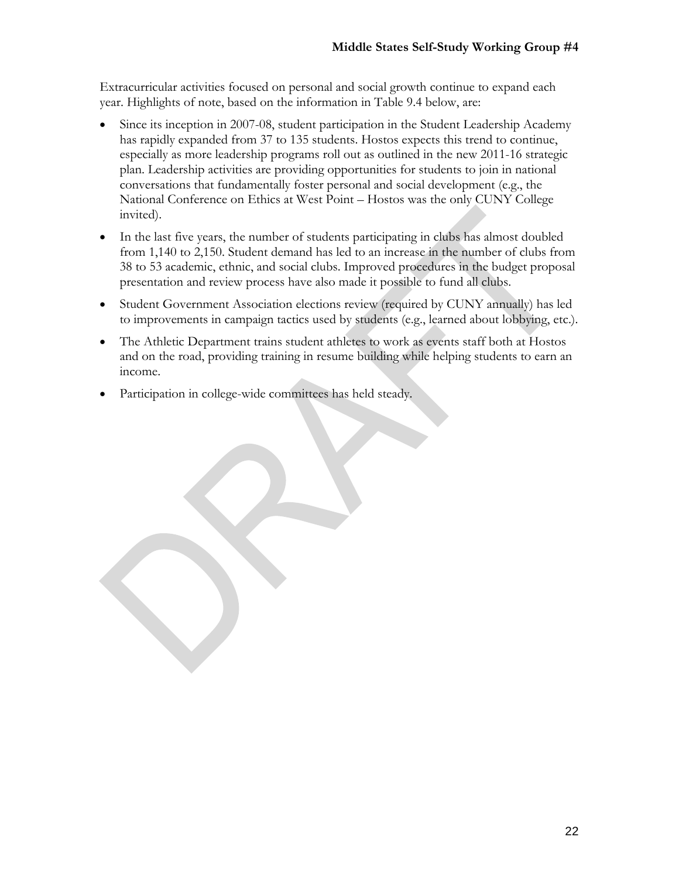Extracurricular activities focused on personal and social growth continue to expand each year. Highlights of note, based on the information in Table 9.4 below, are:

- Since its inception in 2007-08, student participation in the Student Leadership Academy has rapidly expanded from 37 to 135 students. Hostos expects this trend to continue, especially as more leadership programs roll out as outlined in the new 2011-16 strategic plan. Leadership activities are providing opportunities for students to join in national conversations that fundamentally foster personal and social development (e.g., the National Conference on Ethics at West Point – Hostos was the only CUNY College invited).
- In the last five years, the number of students participating in clubs has almost doubled from 1,140 to 2,150. Student demand has led to an increase in the number of clubs from 38 to 53 academic, ethnic, and social clubs. Improved procedures in the budget proposal presentation and review process have also made it possible to fund all clubs.
- Student Government Association elections review (required by CUNY annually) has led to improvements in campaign tactics used by students (e.g., learned about lobbying, etc.).
- The Athletic Department trains student athletes to work as events staff both at Hostos and on the road, providing training in resume building while helping students to earn an income.
- Participation in college-wide committees has held steady.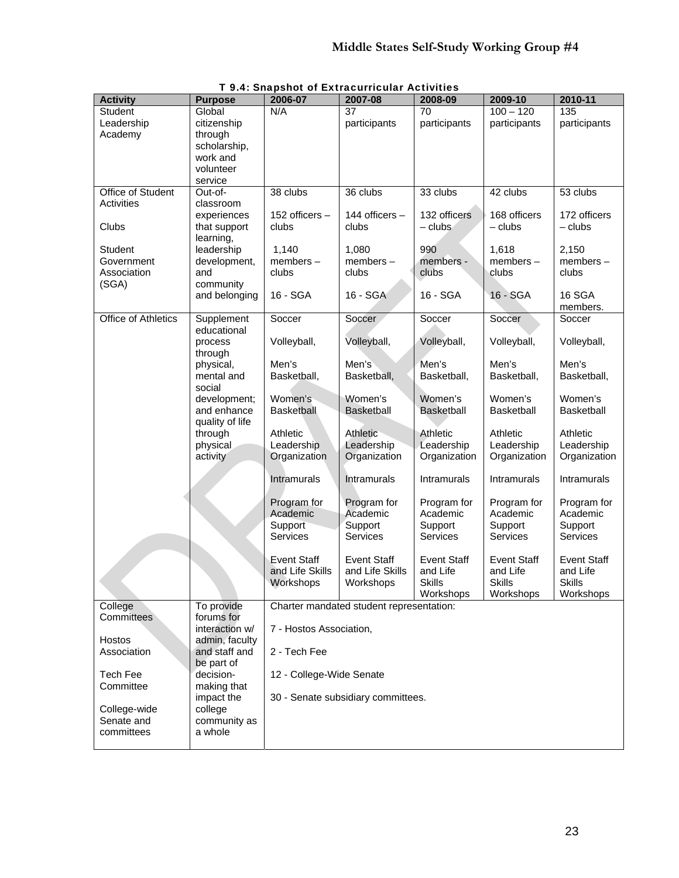| <b>Activity</b>     | <b>Purpose</b>                   | 2006-07                            | 2007-08                                  | 2008-09            | 2009-10            | 2010-11            |  |  |
|---------------------|----------------------------------|------------------------------------|------------------------------------------|--------------------|--------------------|--------------------|--|--|
| Student             | Global                           | N/A                                | 37                                       | 70                 | $100 - 120$        | 135                |  |  |
| Leadership          | citizenship                      |                                    | participants                             | participants       | participants       | participants       |  |  |
| Academy             | through                          |                                    |                                          |                    |                    |                    |  |  |
|                     | scholarship,                     |                                    |                                          |                    |                    |                    |  |  |
|                     | work and                         |                                    |                                          |                    |                    |                    |  |  |
|                     | volunteer                        |                                    |                                          |                    |                    |                    |  |  |
|                     | service                          |                                    |                                          |                    |                    |                    |  |  |
| Office of Student   | Out-of-                          | 38 clubs                           | 36 clubs                                 | 33 clubs           | 42 clubs           | 53 clubs           |  |  |
| <b>Activities</b>   | classroom                        |                                    |                                          |                    |                    |                    |  |  |
|                     | experiences                      | 152 officers -                     | 144 officers -                           | 132 officers       | 168 officers       | 172 officers       |  |  |
| Clubs               | that support                     | clubs                              | clubs                                    | $-$ clubs          | $-$ clubs          | $-$ clubs          |  |  |
| <b>Student</b>      | learning,                        | 1,140                              |                                          | 990                | 1,618              | 2,150              |  |  |
| Government          | leadership<br>development,       | $members -$                        | 1,080<br>members-                        | members -          | members-           | members-           |  |  |
| Association         | and                              | clubs                              | clubs                                    | clubs              | clubs              | clubs              |  |  |
| (SGA)               | community                        |                                    |                                          |                    |                    |                    |  |  |
|                     | and belonging                    | 16 - SGA                           | 16 - SGA                                 | 16 - SGA           | 16 - SGA           | 16 SGA             |  |  |
|                     |                                  |                                    |                                          |                    |                    | members.           |  |  |
| Office of Athletics | Supplement                       | Soccer                             | Soccer                                   | Soccer             | Soccer             | Soccer             |  |  |
|                     | educational                      |                                    |                                          |                    |                    |                    |  |  |
|                     | process                          | Volleyball,                        | Volleyball,                              | Volleyball,        | Volleyball,        | Volleyball,        |  |  |
|                     | through                          |                                    |                                          |                    |                    |                    |  |  |
|                     | physical,                        | Men's                              | Men's                                    | Men's              | Men's              | Men's              |  |  |
|                     | mental and                       | Basketball,                        | Basketball,                              | Basketball,        | Basketball,        | Basketball,        |  |  |
|                     | social                           |                                    |                                          |                    |                    |                    |  |  |
|                     | development;                     | Women's                            | Women's                                  | Women's            | Women's            | Women's            |  |  |
|                     | and enhance                      | <b>Basketball</b>                  | <b>Basketball</b>                        | <b>Basketball</b>  | <b>Basketball</b>  | Basketball         |  |  |
|                     | quality of life                  |                                    |                                          |                    |                    |                    |  |  |
|                     | through                          | Athletic                           | Athletic                                 | Athletic           | Athletic           | Athletic           |  |  |
|                     | physical                         | Leadership                         | Leadership                               | Leadership         | Leadership         | Leadership         |  |  |
|                     | activity                         | Organization                       | Organization                             | Organization       | Organization       | Organization       |  |  |
|                     |                                  | Intramurals                        | <b>Intramurals</b>                       | Intramurals        | Intramurals        | Intramurals        |  |  |
|                     |                                  |                                    |                                          |                    |                    |                    |  |  |
|                     |                                  | Program for                        | Program for                              | Program for        | Program for        | Program for        |  |  |
|                     |                                  | Academic                           | Academic                                 | Academic           | Academic           | Academic           |  |  |
|                     |                                  | Support                            | Support                                  | Support            | Support            | Support            |  |  |
|                     |                                  | Services                           | <b>Services</b>                          | Services           | Services           | Services           |  |  |
|                     |                                  |                                    |                                          |                    |                    |                    |  |  |
|                     |                                  | Event Staff                        | <b>Event Staff</b>                       | <b>Event Staff</b> | <b>Event Staff</b> | <b>Event Staff</b> |  |  |
|                     |                                  | and Life Skills                    | and Life Skills                          | and Life           | and Life           | and Life           |  |  |
|                     |                                  | Workshops                          | Workshops                                | <b>Skills</b>      | <b>Skills</b>      | <b>Skills</b>      |  |  |
|                     |                                  |                                    |                                          | Workshops          | Workshops          | Workshops          |  |  |
| College             | To provide                       |                                    | Charter mandated student representation: |                    |                    |                    |  |  |
| Committees          | forums for                       |                                    |                                          |                    |                    |                    |  |  |
| Hostos              | interaction w/<br>admin, faculty | 7 - Hostos Association,            |                                          |                    |                    |                    |  |  |
| Association         | and staff and                    | 2 - Tech Fee                       |                                          |                    |                    |                    |  |  |
|                     | be part of                       |                                    |                                          |                    |                    |                    |  |  |
| Tech Fee            | decision-                        | 12 - College-Wide Senate           |                                          |                    |                    |                    |  |  |
| Committee           | making that                      |                                    |                                          |                    |                    |                    |  |  |
|                     | impact the                       | 30 - Senate subsidiary committees. |                                          |                    |                    |                    |  |  |
| College-wide        | college                          |                                    |                                          |                    |                    |                    |  |  |
| Senate and          | community as                     |                                    |                                          |                    |                    |                    |  |  |
| committees          | a whole                          |                                    |                                          |                    |                    |                    |  |  |
|                     |                                  |                                    |                                          |                    |                    |                    |  |  |

T 9.4: Snapshot of Extracurricular Activities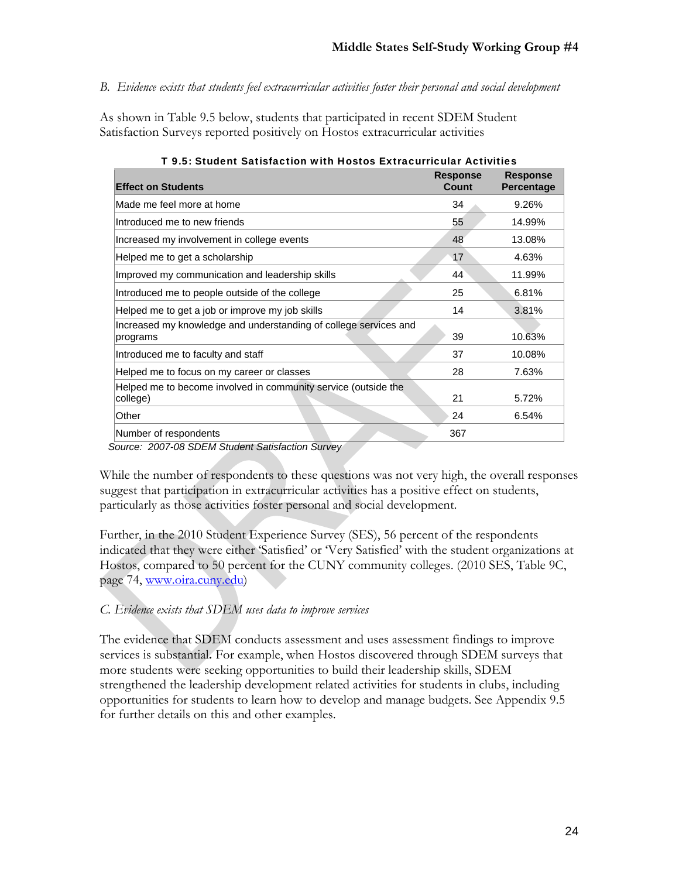*B. Evidence exists that students feel extracurricular activities foster their personal and social development* 

As shown in Table 9.5 below, students that participated in recent SDEM Student Satisfaction Surveys reported positively on Hostos extracurricular activities

| <b>Effect on Students</b>                                                    | <b>Response</b><br>Count | <b>Response</b><br><b>Percentage</b> |
|------------------------------------------------------------------------------|--------------------------|--------------------------------------|
| Made me feel more at home                                                    | 34                       | 9.26%                                |
| Introduced me to new friends                                                 | 55                       | 14.99%                               |
| Increased my involvement in college events                                   | 48                       | 13.08%                               |
| Helped me to get a scholarship                                               | 17                       | 4.63%                                |
| Improved my communication and leadership skills                              | 44                       | 11.99%                               |
| Introduced me to people outside of the college                               | 25                       | 6.81%                                |
| Helped me to get a job or improve my job skills                              | 14                       | 3.81%                                |
| Increased my knowledge and understanding of college services and<br>programs | 39                       | 10.63%                               |
| Introduced me to faculty and staff                                           | 37                       | 10.08%                               |
| Helped me to focus on my career or classes                                   | 28                       | 7.63%                                |
| Helped me to become involved in community service (outside the<br>college)   | 21                       | 5.72%                                |
| Other                                                                        | 24                       | 6.54%                                |
| Number of respondents                                                        | 367                      |                                      |

| T 9.5: Student Satisfaction with Hostos Extracurricular Activities |
|--------------------------------------------------------------------|
|--------------------------------------------------------------------|

 *Source: 2007-08 SDEM Student Satisfaction Survey* 

While the number of respondents to these questions was not very high, the overall responses suggest that participation in extracurricular activities has a positive effect on students, particularly as those activities foster personal and social development.

Further, in the 2010 Student Experience Survey (SES), 56 percent of the respondents indicated that they were either 'Satisfied' or 'Very Satisfied' with the student organizations at Hostos, compared to 50 percent for the CUNY community colleges. (2010 SES, Table 9C, page 74, www.oira.cuny.edu)

# *C. Evidence exists that SDEM uses data to improve services*

The evidence that SDEM conducts assessment and uses assessment findings to improve services is substantial**.** For example, when Hostos discovered through SDEM surveys that more students were seeking opportunities to build their leadership skills, SDEM strengthened the leadership development related activities for students in clubs, including opportunities for students to learn how to develop and manage budgets. See Appendix 9.5 for further details on this and other examples.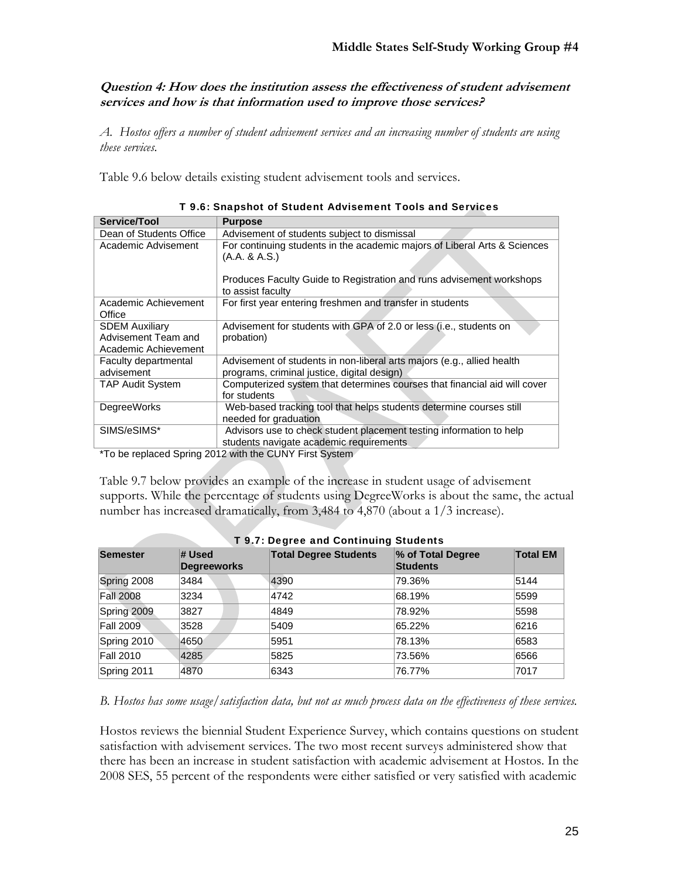**Question 4: How does the institution assess the effectiveness of student advisement services and how is that information used to improve those services?** 

*A. Hostos offers a number of student advisement services and an increasing number of students are using these services.* 

Table 9.6 below details existing student advisement tools and services.

| Service/Tool                                                         | <b>Purpose</b>                                                                                                                       |
|----------------------------------------------------------------------|--------------------------------------------------------------------------------------------------------------------------------------|
| Dean of Students Office                                              | Advisement of students subject to dismissal                                                                                          |
| Academic Advisement                                                  | For continuing students in the academic majors of Liberal Arts & Sciences<br>(A.A. & A.S.)                                           |
|                                                                      | Produces Faculty Guide to Registration and runs advisement workshops<br>to assist faculty                                            |
| Academic Achievement<br>Office                                       | For first year entering freshmen and transfer in students                                                                            |
| <b>SDEM Auxiliary</b><br>Advisement Team and<br>Academic Achievement | Advisement for students with GPA of 2.0 or less (i.e., students on<br>probation)                                                     |
| Faculty departmental<br>advisement                                   | Advisement of students in non-liberal arts majors (e.g., allied health<br>programs, criminal justice, digital design)                |
| <b>TAP Audit System</b>                                              | Computerized system that determines courses that financial aid will cover<br>for students                                            |
| <b>DegreeWorks</b>                                                   | Web-based tracking tool that helps students determine courses still<br>needed for graduation                                         |
| SIMS/eSIMS*                                                          | Advisors use to check student placement testing information to help<br>students navigate academic requirements<br>$0.010 \pm 0.0100$ |

| T 9.6: Snapshot of Student Advisement Tools and Services |  |  |
|----------------------------------------------------------|--|--|
|----------------------------------------------------------|--|--|

\*To be replaced Spring 2012 with the CUNY First System

Table 9.7 below provides an example of the increase in student usage of advisement supports. While the percentage of students using DegreeWorks is about the same, the actual number has increased dramatically, from 3,484 to 4,870 (about a 1/3 increase).

| <b>1.9.7: Degree and Continuing Students</b> |                              |                              |                                      |                 |  |  |  |  |
|----------------------------------------------|------------------------------|------------------------------|--------------------------------------|-----------------|--|--|--|--|
| <b>Semester</b>                              | # Used<br><b>Degreeworks</b> | <b>Total Degree Students</b> | % of Total Degree<br><b>Students</b> | <b>Total EM</b> |  |  |  |  |
| Spring 2008                                  | 3484                         | 4390                         | 79.36%                               | 5144            |  |  |  |  |
| <b>Fall 2008</b>                             | 3234                         | 4742                         | 68.19%                               | 5599            |  |  |  |  |
| Spring 2009                                  | 3827                         | 4849                         | 78.92%                               | 5598            |  |  |  |  |
| <b>Fall 2009</b>                             | 3528                         | 5409                         | 65.22%                               | 6216            |  |  |  |  |
| Spring 2010                                  | 4650                         | 5951                         | 78.13%                               | 6583            |  |  |  |  |
| <b>Fall 2010</b>                             | 4285                         | 5825                         | 73.56%                               | 6566            |  |  |  |  |
| Spring 2011                                  | 4870                         | 6343                         | 76.77%                               | 7017            |  |  |  |  |

|  |  | T 9.7: Degree and Continuing Students |  |
|--|--|---------------------------------------|--|
|  |  |                                       |  |

*B. Hostos has some usage/satisfaction data, but not as much process data on the effectiveness of these services.*

Hostos reviews the biennial Student Experience Survey, which contains questions on student satisfaction with advisement services. The two most recent surveys administered show that there has been an increase in student satisfaction with academic advisement at Hostos. In the 2008 SES, 55 percent of the respondents were either satisfied or very satisfied with academic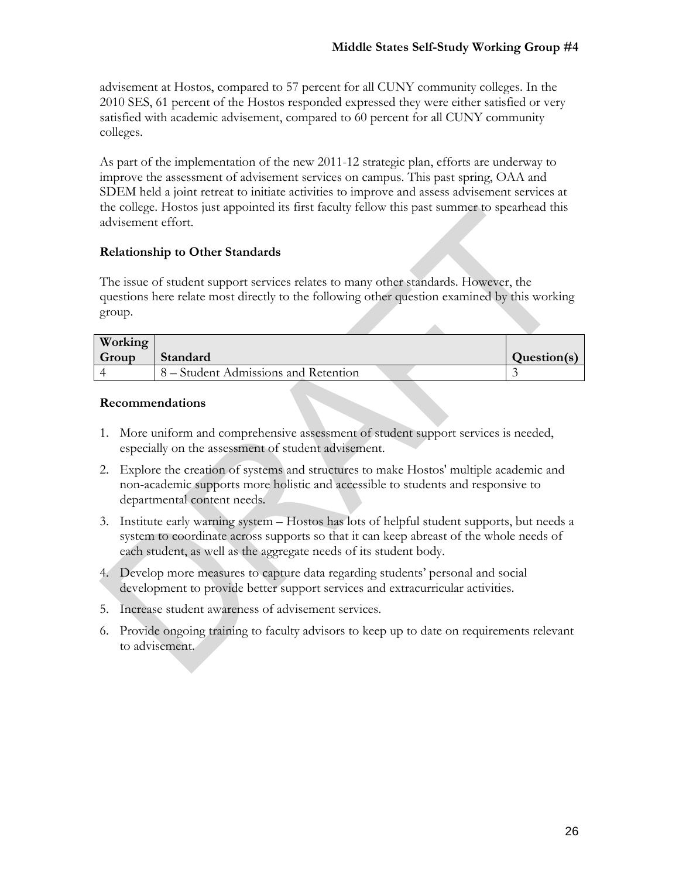$\Delta$ 

advisement at Hostos, compared to 57 percent for all CUNY community colleges. In the 2010 SES, 61 percent of the Hostos responded expressed they were either satisfied or very satisfied with academic advisement, compared to 60 percent for all CUNY community colleges.

As part of the implementation of the new 2011-12 strategic plan, efforts are underway to improve the assessment of advisement services on campus. This past spring, OAA and SDEM held a joint retreat to initiate activities to improve and assess advisement services at the college. Hostos just appointed its first faculty fellow this past summer to spearhead this advisement effort.

# **Relationship to Other Standards**

The issue of student support services relates to many other standards. However, the questions here relate most directly to the following other question examined by this working group.

| Working |                                      |             |
|---------|--------------------------------------|-------------|
| Group   | Standard                             | Question(s) |
|         | 8 – Student Admissions and Retention |             |

#### **Recommendations**

- 1. More uniform and comprehensive assessment of student support services is needed, especially on the assessment of student advisement.
- 2. Explore the creation of systems and structures to make Hostos' multiple academic and non-academic supports more holistic and accessible to students and responsive to departmental content needs.
- 3. Institute early warning system Hostos has lots of helpful student supports, but needs a system to coordinate across supports so that it can keep abreast of the whole needs of each student, as well as the aggregate needs of its student body.
- 4. Develop more measures to capture data regarding students' personal and social development to provide better support services and extracurricular activities.
- 5. Increase student awareness of advisement services.
- 6. Provide ongoing training to faculty advisors to keep up to date on requirements relevant to advisement.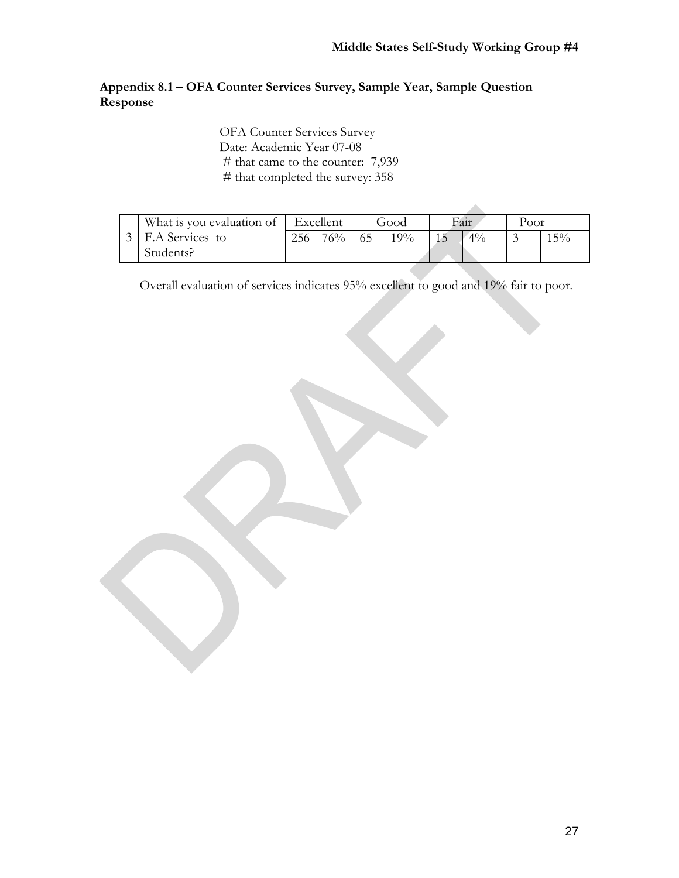# **Appendix 8.1 – OFA Counter Services Survey, Sample Year, Sample Question Response**

OFA Counter Services Survey Date: Academic Year 07-08 # that came to the counter: 7,939 # that completed the survey: 358

| What is you evaluation of |     | Excellent | Good |        | Fair |       | Poor |     |
|---------------------------|-----|-----------|------|--------|------|-------|------|-----|
| F.A Services to           | 256 | 76%       |      | $19\%$ |      | $4\%$ |      | 15% |
| Students?                 |     |           |      |        |      |       |      |     |

Overall evaluation of services indicates 95% excellent to good and 19% fair to poor.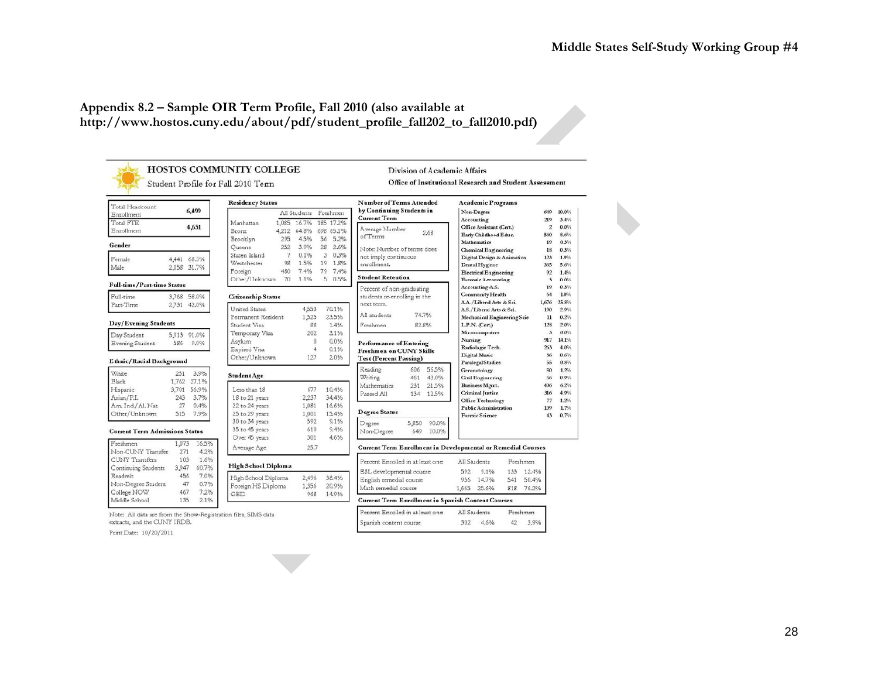# **Appendix 8.2 – Sample OIR Term Profile, Fall 2010 (also available at http://www.hostos.cuny.edu/about/pdf/student\_profile\_fall202\_to\_fall2010.pdf)**



Print Date: 10/20/2011

28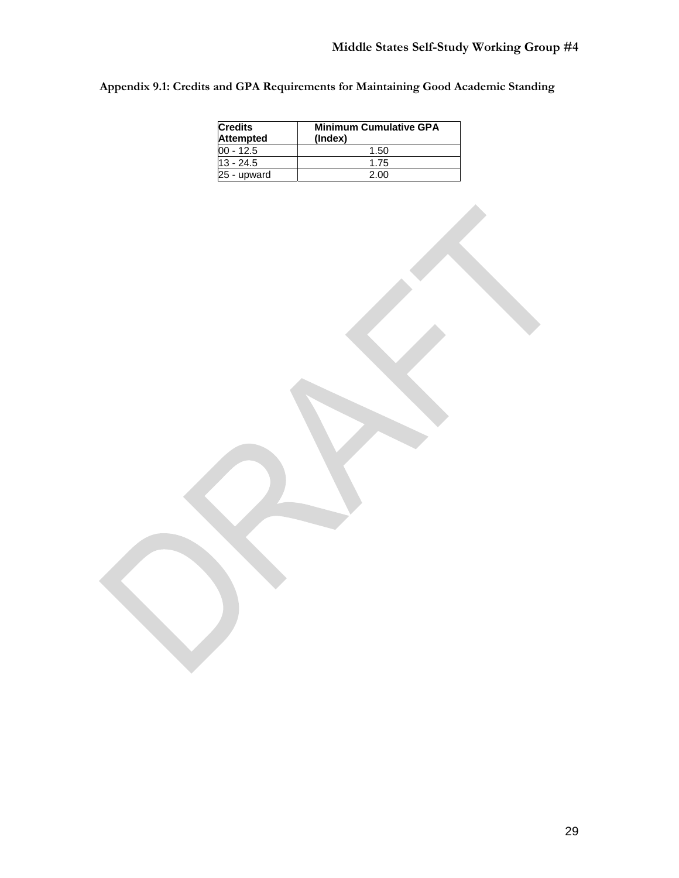**Appendix 9.1: Credits and GPA Requirements for Maintaining Good Academic Standing** 

| <b>Credits</b><br><b>Attempted</b> | <b>Minimum Cumulative GPA</b><br>(Index) |  |  |  |
|------------------------------------|------------------------------------------|--|--|--|
| $00 - 12.5$                        | 1.50                                     |  |  |  |
| $13 - 24.5$                        | 1.75                                     |  |  |  |
| 25 - upward                        | 2.00                                     |  |  |  |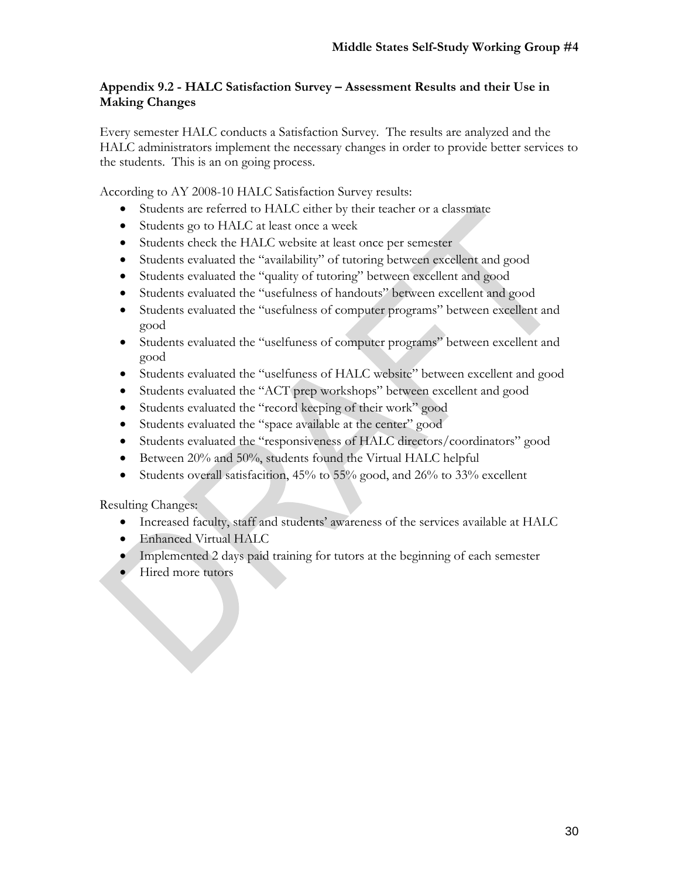# **Appendix 9.2 - HALC Satisfaction Survey – Assessment Results and their Use in Making Changes**

Every semester HALC conducts a Satisfaction Survey. The results are analyzed and the HALC administrators implement the necessary changes in order to provide better services to the students. This is an on going process.

According to AY 2008-10 HALC Satisfaction Survey results:

- Students are referred to HALC either by their teacher or a classmate
- Students go to HALC at least once a week
- Students check the HALC website at least once per semester
- Students evaluated the "availability" of tutoring between excellent and good
- Students evaluated the "quality of tutoring" between excellent and good
- Students evaluated the "usefulness of handouts" between excellent and good
- Students evaluated the "usefulness of computer programs" between excellent and good
- Students evaluated the "uselfuness of computer programs" between excellent and good
- Students evaluated the "uselfuness of HALC website" between excellent and good
- Students evaluated the "ACT prep workshops" between excellent and good
- Students evaluated the "record keeping of their work" good
- Students evaluated the "space available at the center" good
- Students evaluated the "responsiveness of HALC directors/coordinators" good
- Between 20% and 50%, students found the Virtual HALC helpful
- Students overall satisfacition, 45% to 55% good, and 26% to 33% excellent

Resulting Changes:

- Increased faculty, staff and students' awareness of the services available at HALC
- Enhanced Virtual HALC
- Implemented 2 days paid training for tutors at the beginning of each semester
- Hired more tutors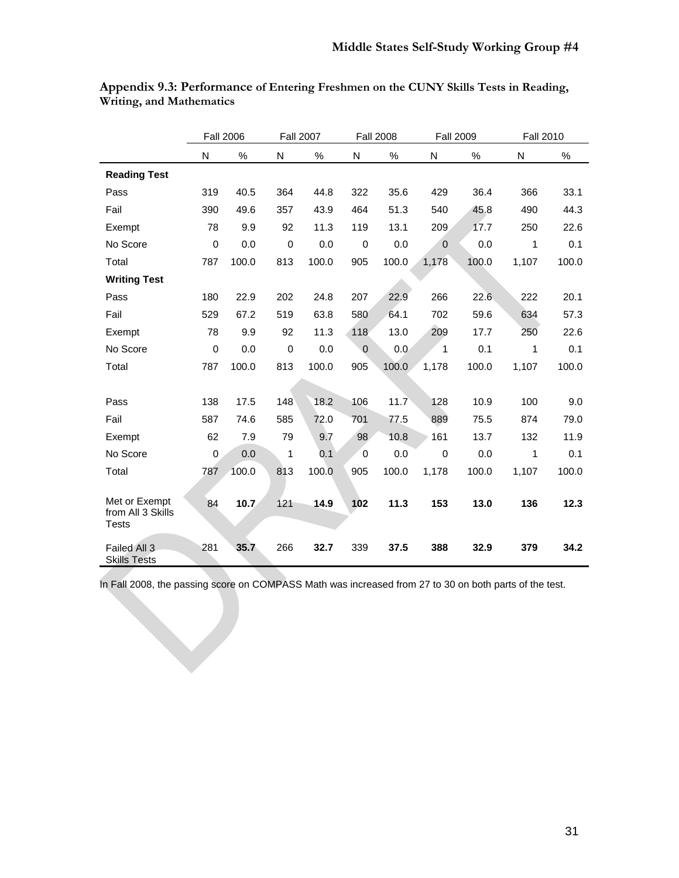|                                                    |                  | <b>Fall 2006</b> |             | <b>Fall 2007</b> |                  | <b>Fall 2008</b> | <b>Fall 2009</b> |       | <b>Fall 2010</b> |       |
|----------------------------------------------------|------------------|------------------|-------------|------------------|------------------|------------------|------------------|-------|------------------|-------|
|                                                    | N                | $\%$             | N           | ℅                | N                | ℅                | N                | $\%$  | N                | $\%$  |
| <b>Reading Test</b>                                |                  |                  |             |                  |                  |                  |                  |       |                  |       |
| Pass                                               | 319              | 40.5             | 364         | 44.8             | 322              | 35.6             | 429              | 36.4  | 366              | 33.1  |
| Fail                                               | 390              | 49.6             | 357         | 43.9             | 464              | 51.3             | 540              | 45.8  | 490              | 44.3  |
| Exempt                                             | 78               | 9.9              | 92          | 11.3             | 119              | 13.1             | 209              | 17.7  | 250              | 22.6  |
| No Score                                           | $\boldsymbol{0}$ | 0.0              | $\mathbf 0$ | 0.0              | $\boldsymbol{0}$ | 0.0              | $\mathbf{0}$     | 0.0   | 1                | 0.1   |
| Total                                              | 787              | 100.0            | 813         | 100.0            | 905              | 100.0            | 1,178            | 100.0 | 1,107            | 100.0 |
| <b>Writing Test</b>                                |                  |                  |             |                  |                  |                  |                  |       |                  |       |
| Pass                                               | 180              | 22.9             | 202         | 24.8             | 207              | 22.9             | 266              | 22.6  | 222              | 20.1  |
| Fail                                               | 529              | 67.2             | 519         | 63.8             | 580              | 64.1             | 702              | 59.6  | 634              | 57.3  |
| Exempt                                             | 78               | 9.9              | 92          | 11.3             | 118              | 13.0             | 209              | 17.7  | 250              | 22.6  |
| No Score                                           | $\mathbf 0$      | 0.0              | 0           | 0.0              | $\mathbf{0}$     | 0.0              | 1                | 0.1   | 1                | 0.1   |
| Total                                              | 787              | 100.0            | 813         | 100.0            | 905              | 100.0            | 1,178            | 100.0 | 1,107            | 100.0 |
|                                                    |                  |                  |             |                  |                  |                  |                  |       |                  |       |
| Pass                                               | 138              | 17.5             | 148         | 18.2             | 106              | 11.7             | 128              | 10.9  | 100              | 9.0   |
| Fail                                               | 587              | 74.6             | 585         | 72.0             | 701              | 77.5             | 889              | 75.5  | 874              | 79.0  |
| Exempt                                             | 62               | 7.9              | 79          | 9.7              | 98               | 10.8             | 161              | 13.7  | 132              | 11.9  |
| No Score                                           | $\mathbf 0$      | 0.0              | 1           | 0.1              | $\mathbf 0$      | 0.0              | $\mathbf 0$      | 0.0   | 1                | 0.1   |
| Total                                              | 787              | 100.0            | 813         | 100.0            | 905              | 100.0            | 1,178            | 100.0 | 1,107            | 100.0 |
|                                                    |                  |                  |             |                  |                  |                  |                  |       |                  |       |
| Met or Exempt<br>from All 3 Skills<br><b>Tests</b> | 84               | 10.7             | 121         | 14.9             | 102              | 11.3             | 153              | 13.0  | 136              | 12.3  |
| Failed All 3<br><b>Skills Tests</b>                | 281              | 35.7             | 266         | 32.7             | 339              | 37.5             | 388              | 32.9  | 379              | 34.2  |

**Appendix 9.3: Performance of Entering Freshmen on the CUNY Skills Tests in Reading, Writing, and Mathematics**

In Fall 2008, the passing score on COMPASS Math was increased from 27 to 30 on both parts of the test.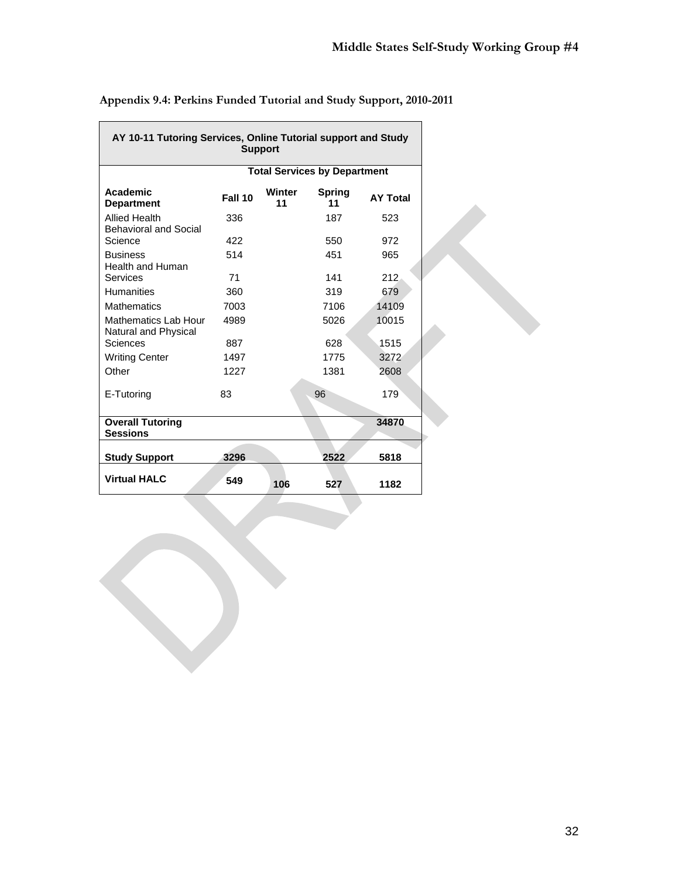٦

| AY 10-11 Tutoring Services, Online Tutorial support and Study<br><b>Support</b> |                                     |              |                     |                 |  |
|---------------------------------------------------------------------------------|-------------------------------------|--------------|---------------------|-----------------|--|
|                                                                                 | <b>Total Services by Department</b> |              |                     |                 |  |
| Academic<br><b>Department</b>                                                   | Fall 10                             | Winter<br>11 | <b>Spring</b><br>11 | <b>AY Total</b> |  |
| <b>Allied Health</b><br><b>Behavioral and Social</b>                            | 336                                 |              | 187                 | 523             |  |
| Science                                                                         | 422                                 |              | 550                 | 972             |  |
| <b>Business</b><br><b>Health and Human</b>                                      | 514                                 |              | 451                 | 965             |  |
| Services                                                                        | 71                                  |              | 141                 | 212             |  |
| <b>Humanities</b>                                                               | 360                                 |              | 319                 | 679             |  |
| <b>Mathematics</b>                                                              | 7003                                |              | 7106                | 14109           |  |
| Mathematics Lab Hour<br>Natural and Physical                                    | 4989                                |              | 5026                | 10015           |  |
| Sciences                                                                        | 887                                 |              | 628                 | 1515            |  |
| <b>Writing Center</b>                                                           | 1497                                |              | 1775                | 3272            |  |
| Other                                                                           | 1227                                |              | 1381                | 2608            |  |
| E-Tutoring                                                                      | 83                                  |              | 96                  | 179             |  |
| <b>Overall Tutoring</b><br><b>Sessions</b>                                      |                                     |              |                     | 34870           |  |
| <b>Study Support</b>                                                            | 3296                                |              | 2522                | 5818            |  |
| <b>Virtual HALC</b>                                                             | 549                                 | 106          | 527                 | 1182            |  |

**Appendix 9.4: Perkins Funded Tutorial and Study Support, 2010-2011** 

<u> Tanzania (</u>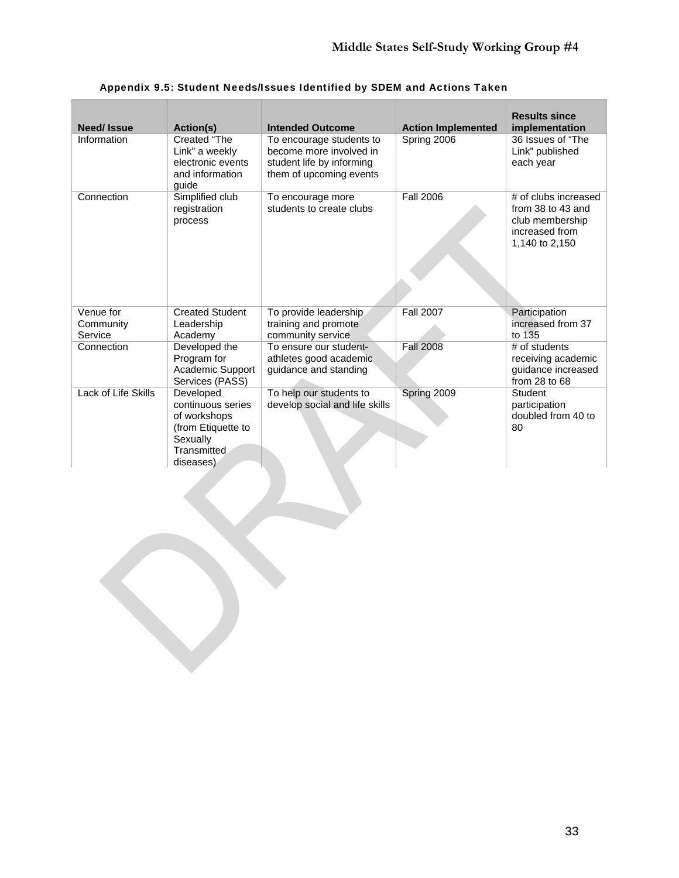| Need/Issue                        | Action(s)                                                                                                           | <b>Intended Outcome</b>                                                                                     | <b>Action Implemented</b> | <b>Results since</b><br>implementation                                                           |
|-----------------------------------|---------------------------------------------------------------------------------------------------------------------|-------------------------------------------------------------------------------------------------------------|---------------------------|--------------------------------------------------------------------------------------------------|
| Information                       | Created "The<br>Link" a weekly<br>electronic events<br>and information<br>quide                                     | To encourage students to<br>become more involved in<br>student life by informing<br>them of upcoming events | Spring 2006               | 36 Issues of "The<br>Link" published<br>each year                                                |
| Connection                        | Simplified club<br>registration<br>process                                                                          | To encourage more<br>students to create clubs                                                               | <b>Fall 2006</b>          | # of clubs increased<br>from 38 to 43 and<br>club membership<br>increased from<br>1,140 to 2,150 |
| Venue for<br>Community<br>Service | <b>Created Student</b><br>Leadership<br>Academy                                                                     | To provide leadership<br>training and promote<br>community service                                          | <b>Fall 2007</b>          | Participation<br>increased from 37<br>to 135                                                     |
| Connection                        | Developed the<br>Program for<br>Academic Support<br>Services (PASS)                                                 | To ensure our student-<br>athletes good academic<br>guidance and standing                                   | <b>Fall 2008</b>          | # of students<br>receiving academic<br>guidance increased<br>from $28$ to $68$                   |
| Lack of Life Skills               | Developed<br>continuous series<br>of workshops<br>(from Etiquette to<br>Sexually<br><b>Transmitted</b><br>diseases) | To help our students to<br>develop social and life skills                                                   | Spring 2009               | <b>Student</b><br>participation<br>doubled from 40 to<br>80                                      |

# Appendix 9.5: Student Needs/Issues Identified by SDEM and Actions Taken